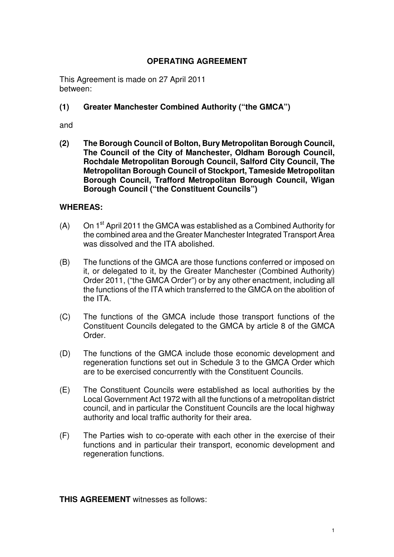#### **OPERATING AGREEMENT**

This Agreement is made on 27 April 2011 between:

### **(1) Greater Manchester Combined Authority ("the GMCA")**

and

**(2) The Borough Council of Bolton, Bury Metropolitan Borough Council, The Council of the City of Manchester, Oldham Borough Council, Rochdale Metropolitan Borough Council, Salford City Council, The Metropolitan Borough Council of Stockport, Tameside Metropolitan Borough Council, Trafford Metropolitan Borough Council, Wigan Borough Council ("the Constituent Councils")** 

#### **WHEREAS:**

- (A) On  $1<sup>st</sup>$  April 2011 the GMCA was established as a Combined Authority for the combined area and the Greater Manchester Integrated Transport Area was dissolved and the ITA abolished.
- (B) The functions of the GMCA are those functions conferred or imposed on it, or delegated to it, by the Greater Manchester (Combined Authority) Order 2011, ("the GMCA Order") or by any other enactment, including all the functions of the ITA which transferred to the GMCA on the abolition of the ITA.
- (C) The functions of the GMCA include those transport functions of the Constituent Councils delegated to the GMCA by article 8 of the GMCA Order.
- (D) The functions of the GMCA include those economic development and regeneration functions set out in Schedule 3 to the GMCA Order which are to be exercised concurrently with the Constituent Councils.
- (E) The Constituent Councils were established as local authorities by the Local Government Act 1972 with all the functions of a metropolitan district council, and in particular the Constituent Councils are the local highway authority and local traffic authority for their area.
- (F) The Parties wish to co-operate with each other in the exercise of their functions and in particular their transport, economic development and regeneration functions.

**THIS AGREEMENT** witnesses as follows: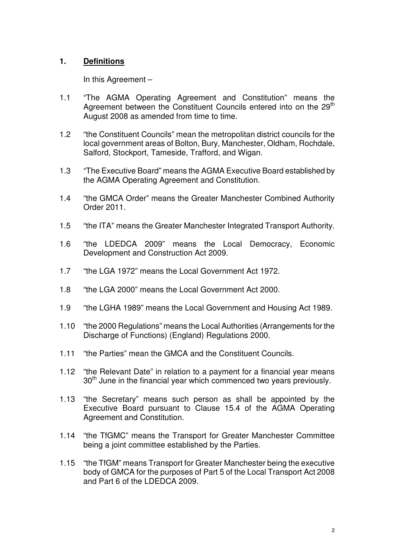#### **1. Definitions**

In this Agreement –

- 1.1 "The AGMA Operating Agreement and Constitution" means the Agreement between the Constituent Councils entered into on the 29<sup>th</sup> August 2008 as amended from time to time.
- 1.2 "the Constituent Councils" mean the metropolitan district councils for the local government areas of Bolton, Bury, Manchester, Oldham, Rochdale, Salford, Stockport, Tameside, Trafford, and Wigan.
- 1.3 "The Executive Board" means the AGMA Executive Board established by the AGMA Operating Agreement and Constitution.
- 1.4 "the GMCA Order" means the Greater Manchester Combined Authority Order 2011.
- 1.5 "the ITA" means the Greater Manchester Integrated Transport Authority.
- 1.6 "the LDEDCA 2009" means the Local Democracy, Economic Development and Construction Act 2009.
- 1.7 "the LGA 1972" means the Local Government Act 1972.
- 1.8 "the LGA 2000" means the Local Government Act 2000.
- 1.9 "the LGHA 1989" means the Local Government and Housing Act 1989.
- 1.10 "the 2000 Regulations" means the Local Authorities (Arrangements for the Discharge of Functions) (England) Regulations 2000.
- 1.11 "the Parties" mean the GMCA and the Constituent Councils.
- 1.12 "the Relevant Date" in relation to a payment for a financial year means  $30<sup>th</sup>$  June in the financial year which commenced two years previously.
- 1.13 "the Secretary" means such person as shall be appointed by the Executive Board pursuant to Clause 15.4 of the AGMA Operating Agreement and Constitution.
- 1.14 "the TfGMC" means the Transport for Greater Manchester Committee being a joint committee established by the Parties.
- 1.15 "the TfGM" means Transport for Greater Manchester being the executive body of GMCA for the purposes of Part 5 of the Local Transport Act 2008 and Part 6 of the LDEDCA 2009.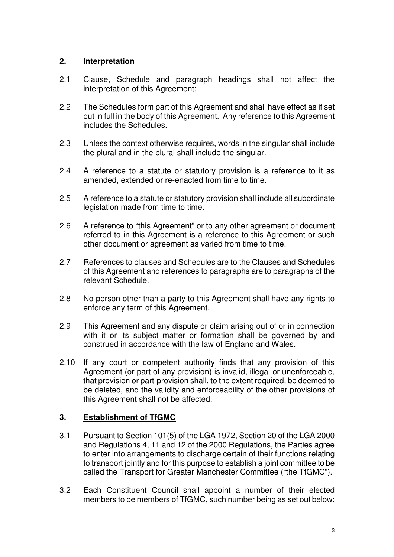#### **2. Interpretation**

- 2.1 Clause, Schedule and paragraph headings shall not affect the interpretation of this Agreement;
- 2.2 The Schedules form part of this Agreement and shall have effect as if set out in full in the body of this Agreement. Any reference to this Agreement includes the Schedules.
- 2.3 Unless the context otherwise requires, words in the singular shall include the plural and in the plural shall include the singular.
- 2.4 A reference to a statute or statutory provision is a reference to it as amended, extended or re-enacted from time to time.
- 2.5 A reference to a statute or statutory provision shall include all subordinate legislation made from time to time.
- 2.6 A reference to "this Agreement" or to any other agreement or document referred to in this Agreement is a reference to this Agreement or such other document or agreement as varied from time to time.
- 2.7 References to clauses and Schedules are to the Clauses and Schedules of this Agreement and references to paragraphs are to paragraphs of the relevant Schedule.
- 2.8 No person other than a party to this Agreement shall have any rights to enforce any term of this Agreement.
- 2.9 This Agreement and any dispute or claim arising out of or in connection with it or its subject matter or formation shall be governed by and construed in accordance with the law of England and Wales.
- 2.10 If any court or competent authority finds that any provision of this Agreement (or part of any provision) is invalid, illegal or unenforceable, that provision or part-provision shall, to the extent required, be deemed to be deleted, and the validity and enforceability of the other provisions of this Agreement shall not be affected.

### **3. Establishment of TfGMC**

- 3.1 Pursuant to Section 101(5) of the LGA 1972, Section 20 of the LGA 2000 and Regulations 4, 11 and 12 of the 2000 Regulations, the Parties agree to enter into arrangements to discharge certain of their functions relating to transport jointly and for this purpose to establish a joint committee to be called the Transport for Greater Manchester Committee ("the TfGMC").
- 3.2 Each Constituent Council shall appoint a number of their elected members to be members of TfGMC, such number being as set out below: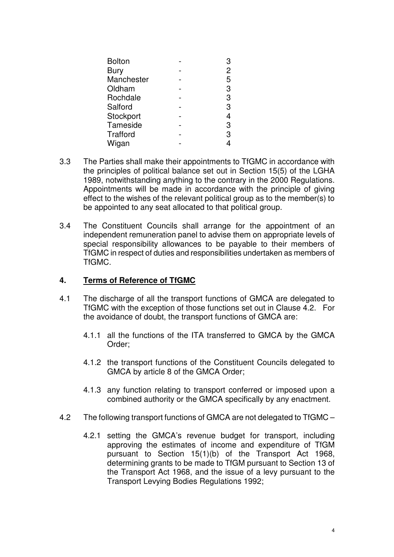| <b>Bolton</b>   |   |
|-----------------|---|
| <b>Bury</b>     | 2 |
| Manchester      | 5 |
| Oldham          | 3 |
| Rochdale        | 3 |
| Salford         | 3 |
| Stockport       | 4 |
| Tameside        | 3 |
| <b>Trafford</b> | 3 |
| Wigan           |   |

- 3.3 The Parties shall make their appointments to TfGMC in accordance with the principles of political balance set out in Section 15(5) of the LGHA 1989, notwithstanding anything to the contrary in the 2000 Regulations. Appointments will be made in accordance with the principle of giving effect to the wishes of the relevant political group as to the member(s) to be appointed to any seat allocated to that political group.
- 3.4 The Constituent Councils shall arrange for the appointment of an independent remuneration panel to advise them on appropriate levels of special responsibility allowances to be payable to their members of TfGMC in respect of duties and responsibilities undertaken as members of TfGMC.

#### **4. Terms of Reference of TfGMC**

- 4.1 The discharge of all the transport functions of GMCA are delegated to TfGMC with the exception of those functions set out in Clause 4.2. For the avoidance of doubt, the transport functions of GMCA are:
	- 4.1.1 all the functions of the ITA transferred to GMCA by the GMCA Order;
	- 4.1.2 the transport functions of the Constituent Councils delegated to GMCA by article 8 of the GMCA Order;
	- 4.1.3 any function relating to transport conferred or imposed upon a combined authority or the GMCA specifically by any enactment.
- 4.2 The following transport functions of GMCA are not delegated to TfGMC
	- 4.2.1 setting the GMCA's revenue budget for transport, including approving the estimates of income and expenditure of TfGM pursuant to Section 15(1)(b) of the Transport Act 1968, determining grants to be made to TfGM pursuant to Section 13 of the Transport Act 1968, and the issue of a levy pursuant to the Transport Levying Bodies Regulations 1992;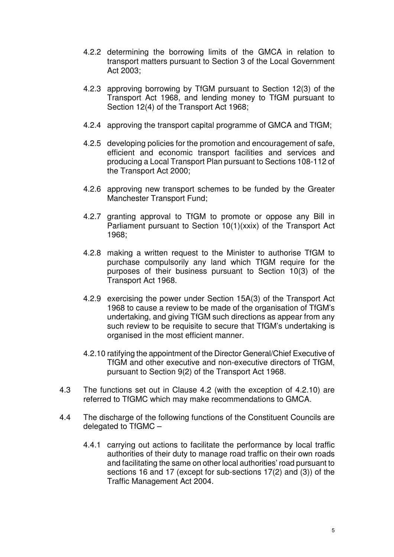- 4.2.2 determining the borrowing limits of the GMCA in relation to transport matters pursuant to Section 3 of the Local Government Act 2003;
- 4.2.3 approving borrowing by TfGM pursuant to Section 12(3) of the Transport Act 1968, and lending money to TfGM pursuant to Section 12(4) of the Transport Act 1968;
- 4.2.4 approving the transport capital programme of GMCA and TfGM;
- 4.2.5 developing policies for the promotion and encouragement of safe, efficient and economic transport facilities and services and producing a Local Transport Plan pursuant to Sections 108-112 of the Transport Act 2000;
- 4.2.6 approving new transport schemes to be funded by the Greater Manchester Transport Fund;
- 4.2.7 granting approval to TfGM to promote or oppose any Bill in Parliament pursuant to Section 10(1)(xxix) of the Transport Act 1968;
- 4.2.8 making a written request to the Minister to authorise TfGM to purchase compulsorily any land which TfGM require for the purposes of their business pursuant to Section 10(3) of the Transport Act 1968.
- 4.2.9 exercising the power under Section 15A(3) of the Transport Act 1968 to cause a review to be made of the organisation of TfGM's undertaking, and giving TfGM such directions as appear from any such review to be requisite to secure that TfGM's undertaking is organised in the most efficient manner.
- 4.2.10 ratifying the appointment of the Director General/Chief Executive of TfGM and other executive and non-executive directors of TfGM, pursuant to Section 9(2) of the Transport Act 1968.
- 4.3 The functions set out in Clause 4.2 (with the exception of 4.2.10) are referred to TfGMC which may make recommendations to GMCA.
- 4.4 The discharge of the following functions of the Constituent Councils are delegated to TfGMC –
	- 4.4.1 carrying out actions to facilitate the performance by local traffic authorities of their duty to manage road traffic on their own roads and facilitating the same on other local authorities' road pursuant to sections 16 and 17 (except for sub-sections 17(2) and (3)) of the Traffic Management Act 2004.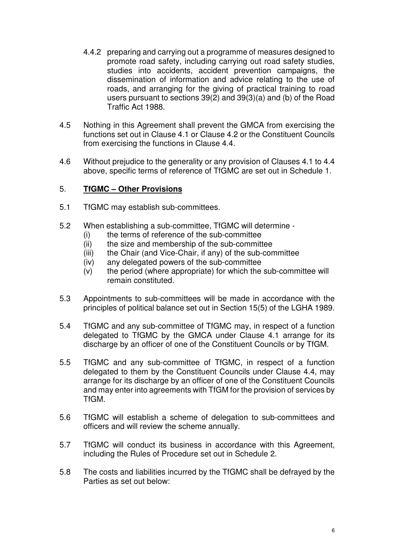- 4.4.2 preparing and carrying out a programme of measures designed to promote road safety, including carrying out road safety studies, studies into accidents, accident prevention campaigns, the dissemination of information and advice relating to the use of roads, and arranging for the giving of practical training to road users pursuant to sections 39(2) and 39(3)(a) and (b) of the Road Traffic Act 1988.
- 4.5 Nothing in this Agreement shall prevent the GMCA from exercising the functions set out in Clause 4.1 or Clause 4.2 or the Constituent Councils from exercising the functions in Clause 4.4.
- 4.6 Without prejudice to the generality or any provision of Clauses 4.1 to 4.4 above, specific terms of reference of TfGMC are set out in Schedule 1.

#### 5. **TfGMC – Other Provisions**

- 5.1 TfGMC may establish sub-committees.
- 5.2 When establishing a sub-committee, TfGMC will determine
	- (i) the terms of reference of the sub-committee
	- (ii) the size and membership of the sub-committee
	- (iii) the Chair (and Vice-Chair, if any) of the sub-committee
	- (iv) any delegated powers of the sub-committee
	- (v) the period (where appropriate) for which the sub-committee will remain constituted.
- 5.3 Appointments to sub-committees will be made in accordance with the principles of political balance set out in Section 15(5) of the LGHA 1989.
- 5.4 TfGMC and any sub-committee of TfGMC may, in respect of a function delegated to TfGMC by the GMCA under Clause 4.1 arrange for its discharge by an officer of one of the Constituent Councils or by TfGM.
- 5.5 TfGMC and any sub-committee of TfGMC, in respect of a function delegated to them by the Constituent Councils under Clause 4.4, may arrange for its discharge by an officer of one of the Constituent Councils and may enter into agreements with TfGM for the provision of services by TfGM.
- 5.6 TfGMC will establish a scheme of delegation to sub-committees and officers and will review the scheme annually.
- 5.7 TfGMC will conduct its business in accordance with this Agreement, including the Rules of Procedure set out in Schedule 2.
- 5.8 The costs and liabilities incurred by the TfGMC shall be defrayed by the Parties as set out below: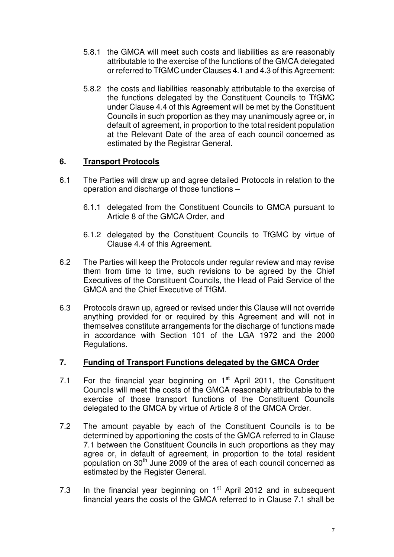- 5.8.1 the GMCA will meet such costs and liabilities as are reasonably attributable to the exercise of the functions of the GMCA delegated or referred to TfGMC under Clauses 4.1 and 4.3 of this Agreement;
- 5.8.2 the costs and liabilities reasonably attributable to the exercise of the functions delegated by the Constituent Councils to TfGMC under Clause 4.4 of this Agreement will be met by the Constituent Councils in such proportion as they may unanimously agree or, in default of agreement, in proportion to the total resident population at the Relevant Date of the area of each council concerned as estimated by the Registrar General.

### **6. Transport Protocols**

- 6.1 The Parties will draw up and agree detailed Protocols in relation to the operation and discharge of those functions –
	- 6.1.1 delegated from the Constituent Councils to GMCA pursuant to Article 8 of the GMCA Order, and
	- 6.1.2 delegated by the Constituent Councils to TfGMC by virtue of Clause 4.4 of this Agreement.
- 6.2 The Parties will keep the Protocols under regular review and may revise them from time to time, such revisions to be agreed by the Chief Executives of the Constituent Councils, the Head of Paid Service of the GMCA and the Chief Executive of TfGM.
- 6.3 Protocols drawn up, agreed or revised under this Clause will not override anything provided for or required by this Agreement and will not in themselves constitute arrangements for the discharge of functions made in accordance with Section 101 of the LGA 1972 and the 2000 Regulations.

### **7. Funding of Transport Functions delegated by the GMCA Order**

- 7.1 For the financial year beginning on  $1<sup>st</sup>$  April 2011, the Constituent Councils will meet the costs of the GMCA reasonably attributable to the exercise of those transport functions of the Constituent Councils delegated to the GMCA by virtue of Article 8 of the GMCA Order.
- 7.2 The amount payable by each of the Constituent Councils is to be determined by apportioning the costs of the GMCA referred to in Clause 7.1 between the Constituent Councils in such proportions as they may agree or, in default of agreement, in proportion to the total resident population on  $30<sup>th</sup>$  June 2009 of the area of each council concerned as estimated by the Register General.
- 7.3 In the financial year beginning on  $1<sup>st</sup>$  April 2012 and in subsequent financial years the costs of the GMCA referred to in Clause 7.1 shall be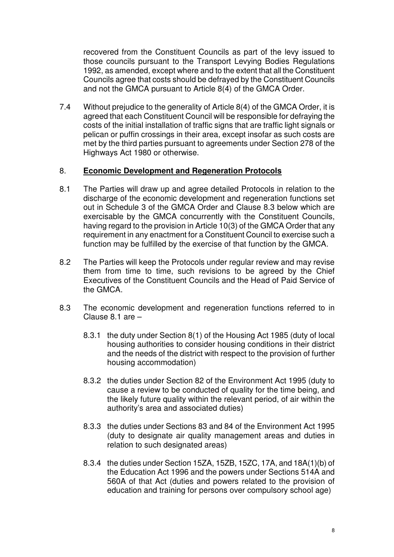recovered from the Constituent Councils as part of the levy issued to those councils pursuant to the Transport Levying Bodies Regulations 1992, as amended, except where and to the extent that all the Constituent Councils agree that costs should be defrayed by the Constituent Councils and not the GMCA pursuant to Article 8(4) of the GMCA Order.

7.4 Without prejudice to the generality of Article 8(4) of the GMCA Order, it is agreed that each Constituent Council will be responsible for defraying the costs of the initial installation of traffic signs that are traffic light signals or pelican or puffin crossings in their area, except insofar as such costs are met by the third parties pursuant to agreements under Section 278 of the Highways Act 1980 or otherwise.

#### 8. **Economic Development and Regeneration Protocols**

- 8.1 The Parties will draw up and agree detailed Protocols in relation to the discharge of the economic development and regeneration functions set out in Schedule 3 of the GMCA Order and Clause 8.3 below which are exercisable by the GMCA concurrently with the Constituent Councils, having regard to the provision in Article 10(3) of the GMCA Order that any requirement in any enactment for a Constituent Council to exercise such a function may be fulfilled by the exercise of that function by the GMCA.
- 8.2 The Parties will keep the Protocols under regular review and may revise them from time to time, such revisions to be agreed by the Chief Executives of the Constituent Councils and the Head of Paid Service of the GMCA.
- 8.3 The economic development and regeneration functions referred to in Clause 8.1 are –
	- 8.3.1 the duty under Section 8(1) of the Housing Act 1985 (duty of local housing authorities to consider housing conditions in their district and the needs of the district with respect to the provision of further housing accommodation)
	- 8.3.2 the duties under Section 82 of the Environment Act 1995 (duty to cause a review to be conducted of quality for the time being, and the likely future quality within the relevant period, of air within the authority's area and associated duties)
	- 8.3.3 the duties under Sections 83 and 84 of the Environment Act 1995 (duty to designate air quality management areas and duties in relation to such designated areas)
	- 8.3.4 the duties under Section 15ZA, 15ZB, 15ZC, 17A, and 18A(1)(b) of the Education Act 1996 and the powers under Sections 514A and 560A of that Act (duties and powers related to the provision of education and training for persons over compulsory school age)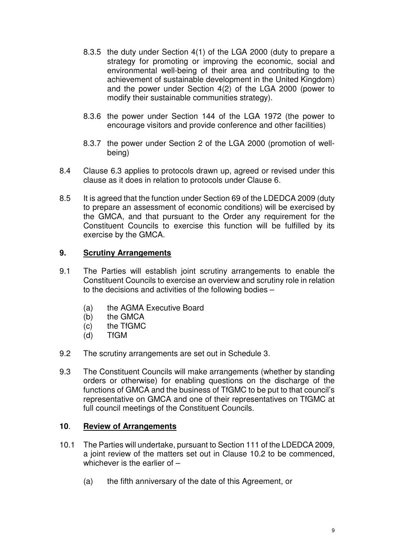- 8.3.5 the duty under Section 4(1) of the LGA 2000 (duty to prepare a strategy for promoting or improving the economic, social and environmental well-being of their area and contributing to the achievement of sustainable development in the United Kingdom) and the power under Section 4(2) of the LGA 2000 (power to modify their sustainable communities strategy).
- 8.3.6 the power under Section 144 of the LGA 1972 (the power to encourage visitors and provide conference and other facilities)
- 8.3.7 the power under Section 2 of the LGA 2000 (promotion of wellbeing)
- 8.4 Clause 6.3 applies to protocols drawn up, agreed or revised under this clause as it does in relation to protocols under Clause 6.
- 8.5 It is agreed that the function under Section 69 of the LDEDCA 2009 (duty to prepare an assessment of economic conditions) will be exercised by the GMCA, and that pursuant to the Order any requirement for the Constituent Councils to exercise this function will be fulfilled by its exercise by the GMCA.

#### **9. Scrutiny Arrangements**

- 9.1 The Parties will establish joint scrutiny arrangements to enable the Constituent Councils to exercise an overview and scrutiny role in relation to the decisions and activities of the following bodies –
	- (a) the AGMA Executive Board
	- (b) the GMCA
	- (c) the TfGMC
	- (d) TfGM
- 9.2 The scrutiny arrangements are set out in Schedule 3.
- 9.3 The Constituent Councils will make arrangements (whether by standing orders or otherwise) for enabling questions on the discharge of the functions of GMCA and the business of TfGMC to be put to that council's representative on GMCA and one of their representatives on TfGMC at full council meetings of the Constituent Councils.

#### **10**. **Review of Arrangements**

- 10.1 The Parties will undertake, pursuant to Section 111 of the LDEDCA 2009, a joint review of the matters set out in Clause 10.2 to be commenced, whichever is the earlier of -
	- (a) the fifth anniversary of the date of this Agreement, or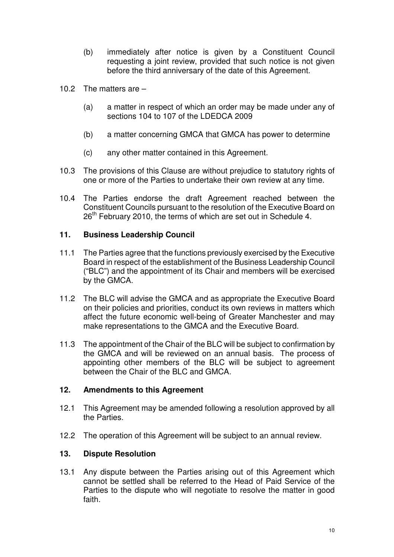- (b) immediately after notice is given by a Constituent Council requesting a joint review, provided that such notice is not given before the third anniversary of the date of this Agreement.
- 10.2 The matters are
	- (a) a matter in respect of which an order may be made under any of sections 104 to 107 of the LDEDCA 2009
	- (b) a matter concerning GMCA that GMCA has power to determine
	- (c) any other matter contained in this Agreement.
- 10.3 The provisions of this Clause are without prejudice to statutory rights of one or more of the Parties to undertake their own review at any time.
- 10.4 The Parties endorse the draft Agreement reached between the Constituent Councils pursuant to the resolution of the Executive Board on 26<sup>th</sup> February 2010, the terms of which are set out in Schedule 4.

#### **11. Business Leadership Council**

- 11.1 The Parties agree that the functions previously exercised by the Executive Board in respect of the establishment of the Business Leadership Council ("BLC") and the appointment of its Chair and members will be exercised by the GMCA.
- 11.2 The BLC will advise the GMCA and as appropriate the Executive Board on their policies and priorities, conduct its own reviews in matters which affect the future economic well-being of Greater Manchester and may make representations to the GMCA and the Executive Board.
- 11.3 The appointment of the Chair of the BLC will be subject to confirmation by the GMCA and will be reviewed on an annual basis. The process of appointing other members of the BLC will be subject to agreement between the Chair of the BLC and GMCA.

#### **12. Amendments to this Agreement**

- 12.1 This Agreement may be amended following a resolution approved by all the Parties.
- 12.2 The operation of this Agreement will be subject to an annual review.

### **13. Dispute Resolution**

13.1 Any dispute between the Parties arising out of this Agreement which cannot be settled shall be referred to the Head of Paid Service of the Parties to the dispute who will negotiate to resolve the matter in good faith.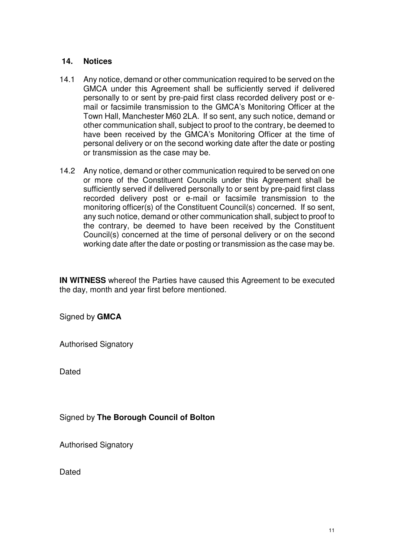#### **14. Notices**

- 14.1 Any notice, demand or other communication required to be served on the GMCA under this Agreement shall be sufficiently served if delivered personally to or sent by pre-paid first class recorded delivery post or email or facsimile transmission to the GMCA's Monitoring Officer at the Town Hall, Manchester M60 2LA. If so sent, any such notice, demand or other communication shall, subject to proof to the contrary, be deemed to have been received by the GMCA's Monitoring Officer at the time of personal delivery or on the second working date after the date or posting or transmission as the case may be.
- 14.2 Any notice, demand or other communication required to be served on one or more of the Constituent Councils under this Agreement shall be sufficiently served if delivered personally to or sent by pre-paid first class recorded delivery post or e-mail or facsimile transmission to the monitoring officer(s) of the Constituent Council(s) concerned. If so sent, any such notice, demand or other communication shall, subject to proof to the contrary, be deemed to have been received by the Constituent Council(s) concerned at the time of personal delivery or on the second working date after the date or posting or transmission as the case may be.

**IN WITNESS** whereof the Parties have caused this Agreement to be executed the day, month and year first before mentioned.

Signed by **GMCA** 

Authorised Signatory

**Dated** 

Signed by **The Borough Council of Bolton**

Authorised Signatory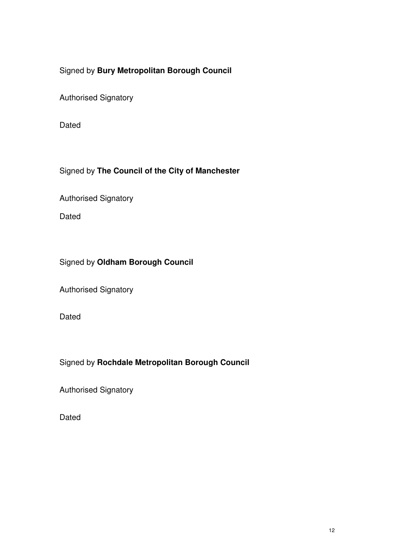# Signed by **Bury Metropolitan Borough Council**

Authorised Signatory

Dated

### Signed by **The Council of the City of Manchester**

Authorised Signatory

Dated

# Signed by **Oldham Borough Council**

Authorised Signatory

Dated

### Signed by **Rochdale Metropolitan Borough Council**

Authorised Signatory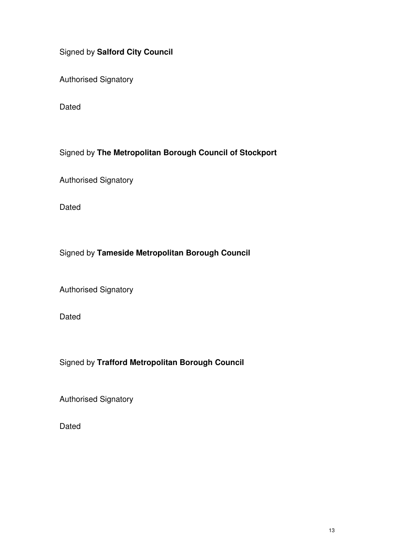## Signed by **Salford City Council**

Authorised Signatory

Dated

Signed by **The Metropolitan Borough Council of Stockport**

Authorised Signatory

Dated

# Signed by **Tameside Metropolitan Borough Council**

Authorised Signatory

Dated

# Signed by **Trafford Metropolitan Borough Council**

Authorised Signatory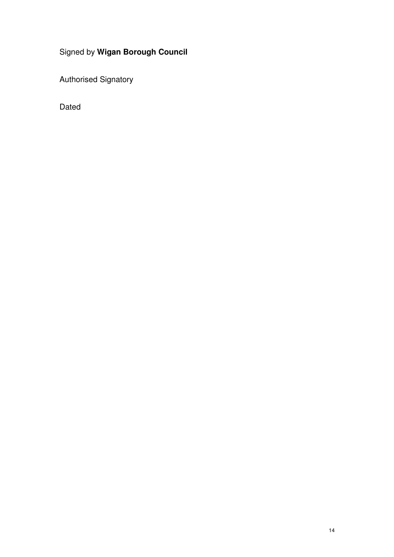# Signed by **Wigan Borough Council**

Authorised Signatory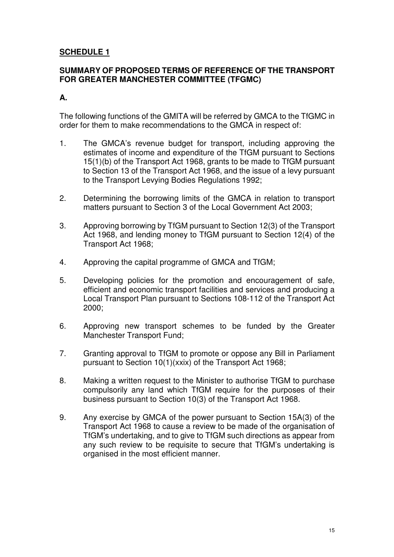### **SCHEDULE 1**

#### **SUMMARY OF PROPOSED TERMS OF REFERENCE OF THE TRANSPORT FOR GREATER MANCHESTER COMMITTEE (TFGMC)**

#### **A.**

The following functions of the GMITA will be referred by GMCA to the TfGMC in order for them to make recommendations to the GMCA in respect of:

- 1. The GMCA's revenue budget for transport, including approving the estimates of income and expenditure of the TfGM pursuant to Sections 15(1)(b) of the Transport Act 1968, grants to be made to TfGM pursuant to Section 13 of the Transport Act 1968, and the issue of a levy pursuant to the Transport Levying Bodies Regulations 1992;
- 2. Determining the borrowing limits of the GMCA in relation to transport matters pursuant to Section 3 of the Local Government Act 2003;
- 3. Approving borrowing by TfGM pursuant to Section 12(3) of the Transport Act 1968, and lending money to TfGM pursuant to Section 12(4) of the Transport Act 1968;
- 4. Approving the capital programme of GMCA and TfGM;
- 5. Developing policies for the promotion and encouragement of safe, efficient and economic transport facilities and services and producing a Local Transport Plan pursuant to Sections 108-112 of the Transport Act 2000;
- 6. Approving new transport schemes to be funded by the Greater Manchester Transport Fund;
- 7. Granting approval to TfGM to promote or oppose any Bill in Parliament pursuant to Section 10(1)(xxix) of the Transport Act 1968;
- 8. Making a written request to the Minister to authorise TfGM to purchase compulsorily any land which TfGM require for the purposes of their business pursuant to Section 10(3) of the Transport Act 1968.
- 9. Any exercise by GMCA of the power pursuant to Section 15A(3) of the Transport Act 1968 to cause a review to be made of the organisation of TfGM's undertaking, and to give to TfGM such directions as appear from any such review to be requisite to secure that TfGM's undertaking is organised in the most efficient manner.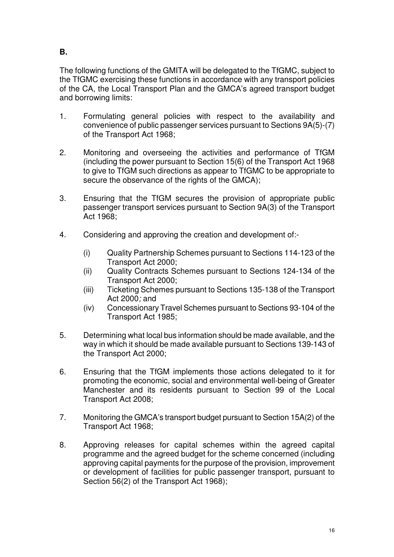**B.** 

The following functions of the GMITA will be delegated to the TfGMC, subject to the TfGMC exercising these functions in accordance with any transport policies of the CA, the Local Transport Plan and the GMCA's agreed transport budget and borrowing limits:

- 1. Formulating general policies with respect to the availability and convenience of public passenger services pursuant to Sections 9A(5)-(7) of the Transport Act 1968;
- 2. Monitoring and overseeing the activities and performance of TfGM (including the power pursuant to Section 15(6) of the Transport Act 1968 to give to TfGM such directions as appear to TfGMC to be appropriate to secure the observance of the rights of the GMCA);
- 3. Ensuring that the TfGM secures the provision of appropriate public passenger transport services pursuant to Section 9A(3) of the Transport Act 1968;
- 4. Considering and approving the creation and development of:-
	- (i) Quality Partnership Schemes pursuant to Sections 114-123 of the Transport Act 2000;
	- (ii) Quality Contracts Schemes pursuant to Sections 124-134 of the Transport Act 2000;
	- (iii) Ticketing Schemes pursuant to Sections 135-138 of the Transport Act 2000; and
	- (iv) Concessionary Travel Schemes pursuant to Sections 93-104 of the Transport Act 1985;
- 5. Determining what local bus information should be made available, and the way in which it should be made available pursuant to Sections 139-143 of the Transport Act 2000;
- 6. Ensuring that the TfGM implements those actions delegated to it for promoting the economic, social and environmental well-being of Greater Manchester and its residents pursuant to Section 99 of the Local Transport Act 2008;
- 7. Monitoring the GMCA's transport budget pursuant to Section 15A(2) of the Transport Act 1968;
- 8. Approving releases for capital schemes within the agreed capital programme and the agreed budget for the scheme concerned (including approving capital payments for the purpose of the provision, improvement or development of facilities for public passenger transport, pursuant to Section 56(2) of the Transport Act 1968);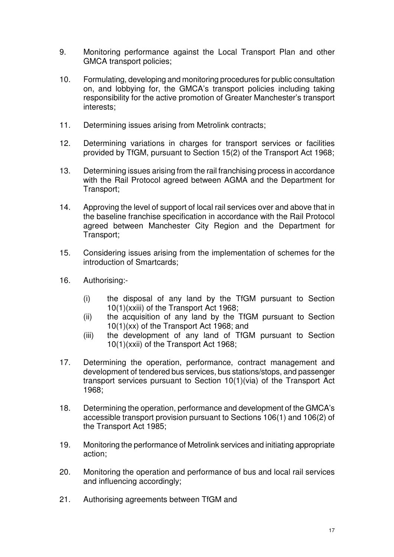- 9. Monitoring performance against the Local Transport Plan and other GMCA transport policies;
- 10. Formulating, developing and monitoring procedures for public consultation on, and lobbying for, the GMCA's transport policies including taking responsibility for the active promotion of Greater Manchester's transport interests;
- 11. Determining issues arising from Metrolink contracts;
- 12. Determining variations in charges for transport services or facilities provided by TfGM, pursuant to Section 15(2) of the Transport Act 1968;
- 13. Determining issues arising from the rail franchising process in accordance with the Rail Protocol agreed between AGMA and the Department for Transport;
- 14. Approving the level of support of local rail services over and above that in the baseline franchise specification in accordance with the Rail Protocol agreed between Manchester City Region and the Department for Transport;
- 15. Considering issues arising from the implementation of schemes for the introduction of Smartcards;
- 16. Authorising:-
	- (i) the disposal of any land by the TfGM pursuant to Section 10(1)(xxiii) of the Transport Act 1968;
	- (ii) the acquisition of any land by the TfGM pursuant to Section 10(1)(xx) of the Transport Act 1968; and
	- (iii) the development of any land of TfGM pursuant to Section 10(1)(xxii) of the Transport Act 1968;
- 17. Determining the operation, performance, contract management and development of tendered bus services, bus stations/stops, and passenger transport services pursuant to Section 10(1)(via) of the Transport Act 1968;
- 18. Determining the operation, performance and development of the GMCA's accessible transport provision pursuant to Sections 106(1) and 106(2) of the Transport Act 1985;
- 19. Monitoring the performance of Metrolink services and initiating appropriate action;
- 20. Monitoring the operation and performance of bus and local rail services and influencing accordingly;
- 21. Authorising agreements between TfGM and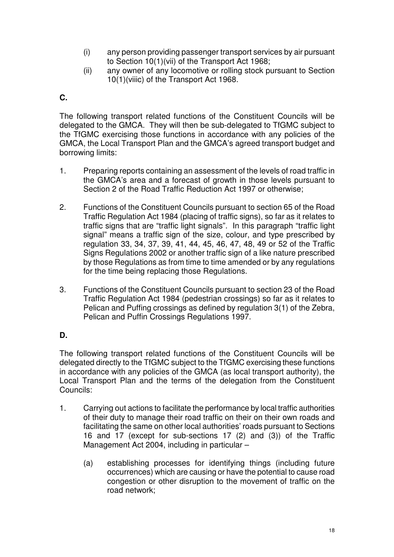- (i) any person providing passenger transport services by air pursuant to Section 10(1)(vii) of the Transport Act 1968;
- (ii) any owner of any locomotive or rolling stock pursuant to Section 10(1)(viiic) of the Transport Act 1968.

### **C.**

The following transport related functions of the Constituent Councils will be delegated to the GMCA. They will then be sub-delegated to TfGMC subject to the TfGMC exercising those functions in accordance with any policies of the GMCA, the Local Transport Plan and the GMCA's agreed transport budget and borrowing limits:

- 1. Preparing reports containing an assessment of the levels of road traffic in the GMCA's area and a forecast of growth in those levels pursuant to Section 2 of the Road Traffic Reduction Act 1997 or otherwise;
- 2. Functions of the Constituent Councils pursuant to section 65 of the Road Traffic Regulation Act 1984 (placing of traffic signs), so far as it relates to traffic signs that are "traffic light signals". In this paragraph "traffic light signal" means a traffic sign of the size, colour, and type prescribed by regulation 33, 34, 37, 39, 41, 44, 45, 46, 47, 48, 49 or 52 of the Traffic Signs Regulations 2002 or another traffic sign of a like nature prescribed by those Regulations as from time to time amended or by any regulations for the time being replacing those Regulations.
- 3. Functions of the Constituent Councils pursuant to section 23 of the Road Traffic Regulation Act 1984 (pedestrian crossings) so far as it relates to Pelican and Puffing crossings as defined by regulation 3(1) of the Zebra, Pelican and Puffin Crossings Regulations 1997.

### **D.**

The following transport related functions of the Constituent Councils will be delegated directly to the TfGMC subject to the TfGMC exercising these functions in accordance with any policies of the GMCA (as local transport authority), the Local Transport Plan and the terms of the delegation from the Constituent Councils:

- 1. Carrying out actions to facilitate the performance by local traffic authorities of their duty to manage their road traffic on their on their own roads and facilitating the same on other local authorities' roads pursuant to Sections 16 and 17 (except for sub-sections 17 (2) and (3)) of the Traffic Management Act 2004, including in particular –
	- (a) establishing processes for identifying things (including future occurrences) which are causing or have the potential to cause road congestion or other disruption to the movement of traffic on the road network;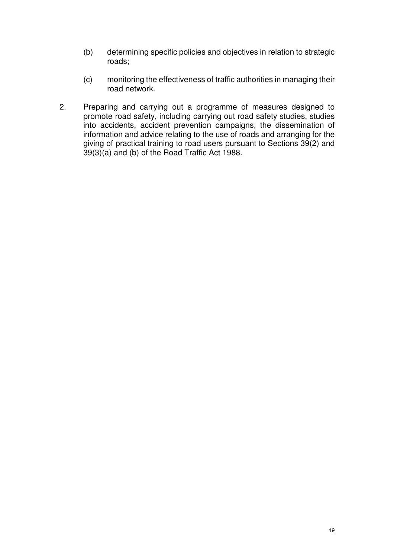- (b) determining specific policies and objectives in relation to strategic roads;
- (c) monitoring the effectiveness of traffic authorities in managing their road network.
- 2. Preparing and carrying out a programme of measures designed to promote road safety, including carrying out road safety studies, studies into accidents, accident prevention campaigns, the dissemination of information and advice relating to the use of roads and arranging for the giving of practical training to road users pursuant to Sections 39(2) and 39(3)(a) and (b) of the Road Traffic Act 1988.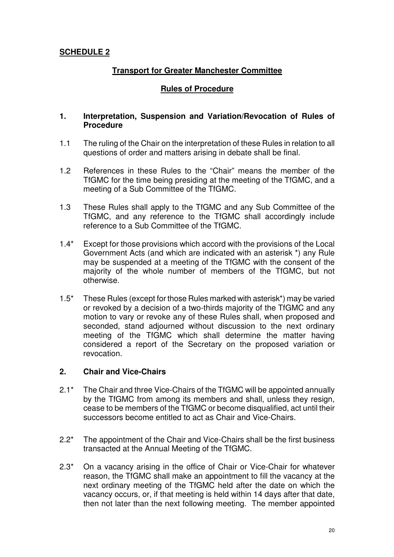### **SCHEDULE 2**

#### **Transport for Greater Manchester Committee**

#### **Rules of Procedure**

#### **1. Interpretation, Suspension and Variation/Revocation of Rules of Procedure**

- 1.1 The ruling of the Chair on the interpretation of these Rules in relation to all questions of order and matters arising in debate shall be final.
- 1.2 References in these Rules to the "Chair" means the member of the TfGMC for the time being presiding at the meeting of the TfGMC, and a meeting of a Sub Committee of the TfGMC.
- 1.3 These Rules shall apply to the TfGMC and any Sub Committee of the TfGMC, and any reference to the TfGMC shall accordingly include reference to a Sub Committee of the TfGMC.
- 1.4\* Except for those provisions which accord with the provisions of the Local Government Acts (and which are indicated with an asterisk \*) any Rule may be suspended at a meeting of the TfGMC with the consent of the majority of the whole number of members of the TfGMC, but not otherwise.
- 1.5\* These Rules (except for those Rules marked with asterisk\*) may be varied or revoked by a decision of a two-thirds majority of the TfGMC and any motion to vary or revoke any of these Rules shall, when proposed and seconded, stand adjourned without discussion to the next ordinary meeting of the TfGMC which shall determine the matter having considered a report of the Secretary on the proposed variation or revocation.

#### **2. Chair and Vice-Chairs**

- 2.1\* The Chair and three Vice-Chairs of the TfGMC will be appointed annually by the TfGMC from among its members and shall, unless they resign, cease to be members of the TfGMC or become disqualified, act until their successors become entitled to act as Chair and Vice-Chairs.
- 2.2\* The appointment of the Chair and Vice-Chairs shall be the first business transacted at the Annual Meeting of the TfGMC.
- 2.3\* On a vacancy arising in the office of Chair or Vice-Chair for whatever reason, the TfGMC shall make an appointment to fill the vacancy at the next ordinary meeting of the TfGMC held after the date on which the vacancy occurs, or, if that meeting is held within 14 days after that date, then not later than the next following meeting. The member appointed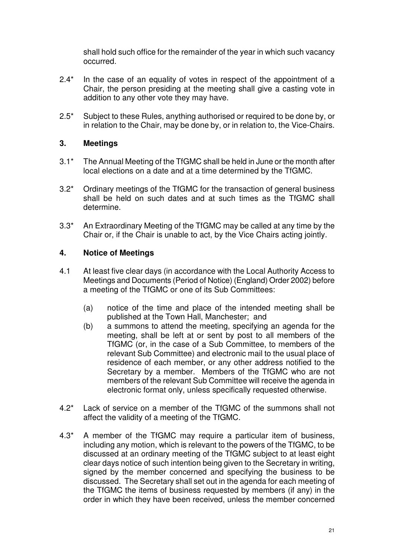shall hold such office for the remainder of the year in which such vacancy occurred.

- 2.4<sup>\*</sup> In the case of an equality of votes in respect of the appointment of a Chair, the person presiding at the meeting shall give a casting vote in addition to any other vote they may have.
- 2.5\* Subject to these Rules, anything authorised or required to be done by, or in relation to the Chair, may be done by, or in relation to, the Vice-Chairs.

### **3. Meetings**

- 3.1\* The Annual Meeting of the TfGMC shall be held in June or the month after local elections on a date and at a time determined by the TfGMC.
- 3.2\* Ordinary meetings of the TfGMC for the transaction of general business shall be held on such dates and at such times as the TfGMC shall determine.
- 3.3\* An Extraordinary Meeting of the TfGMC may be called at any time by the Chair or, if the Chair is unable to act, by the Vice Chairs acting jointly.

### **4. Notice of Meetings**

- 4.1 At least five clear days (in accordance with the Local Authority Access to Meetings and Documents (Period of Notice) (England) Order 2002) before a meeting of the TfGMC or one of its Sub Committees:
	- (a) notice of the time and place of the intended meeting shall be published at the Town Hall, Manchester; and
	- (b) a summons to attend the meeting, specifying an agenda for the meeting, shall be left at or sent by post to all members of the TfGMC (or, in the case of a Sub Committee, to members of the relevant Sub Committee) and electronic mail to the usual place of residence of each member, or any other address notified to the Secretary by a member. Members of the TfGMC who are not members of the relevant Sub Committee will receive the agenda in electronic format only, unless specifically requested otherwise.
- 4.2\* Lack of service on a member of the TfGMC of the summons shall not affect the validity of a meeting of the TfGMC.
- 4.3\* A member of the TfGMC may require a particular item of business, including any motion, which is relevant to the powers of the TfGMC, to be discussed at an ordinary meeting of the TfGMC subject to at least eight clear days notice of such intention being given to the Secretary in writing, signed by the member concerned and specifying the business to be discussed. The Secretary shall set out in the agenda for each meeting of the TfGMC the items of business requested by members (if any) in the order in which they have been received, unless the member concerned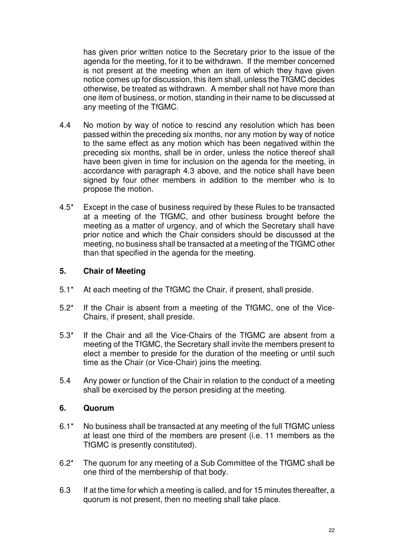has given prior written notice to the Secretary prior to the issue of the agenda for the meeting, for it to be withdrawn. If the member concerned is not present at the meeting when an item of which they have given notice comes up for discussion, this item shall, unless the TfGMC decides otherwise, be treated as withdrawn. A member shall not have more than one item of business, or motion, standing in their name to be discussed at any meeting of the TfGMC.

- 4.4 No motion by way of notice to rescind any resolution which has been passed within the preceding six months, nor any motion by way of notice to the same effect as any motion which has been negatived within the preceding six months, shall be in order, unless the notice thereof shall have been given in time for inclusion on the agenda for the meeting, in accordance with paragraph 4.3 above, and the notice shall have been signed by four other members in addition to the member who is to propose the motion.
- 4.5\* Except in the case of business required by these Rules to be transacted at a meeting of the TfGMC, and other business brought before the meeting as a matter of urgency, and of which the Secretary shall have prior notice and which the Chair considers should be discussed at the meeting, no business shall be transacted at a meeting of the TfGMC other than that specified in the agenda for the meeting.

### **5. Chair of Meeting**

- 5.1\* At each meeting of the TfGMC the Chair, if present, shall preside.
- 5.2\* If the Chair is absent from a meeting of the TfGMC, one of the Vice-Chairs, if present, shall preside.
- 5.3\* If the Chair and all the Vice-Chairs of the TfGMC are absent from a meeting of the TfGMC, the Secretary shall invite the members present to elect a member to preside for the duration of the meeting or until such time as the Chair (or Vice-Chair) joins the meeting.
- 5.4 Any power or function of the Chair in relation to the conduct of a meeting shall be exercised by the person presiding at the meeting.

#### **6. Quorum**

- 6.1\* No business shall be transacted at any meeting of the full TfGMC unless at least one third of the members are present (i.e. 11 members as the TfGMC is presently constituted).
- 6.2\* The quorum for any meeting of a Sub Committee of the TfGMC shall be one third of the membership of that body.
- 6.3 If at the time for which a meeting is called, and for 15 minutes thereafter, a quorum is not present, then no meeting shall take place.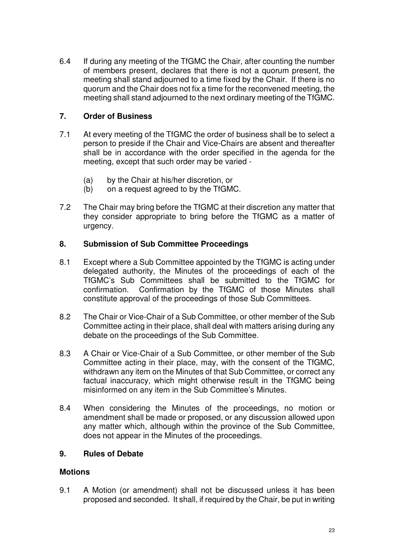6.4 If during any meeting of the TfGMC the Chair, after counting the number of members present, declares that there is not a quorum present, the meeting shall stand adjourned to a time fixed by the Chair. If there is no quorum and the Chair does not fix a time for the reconvened meeting, the meeting shall stand adjourned to the next ordinary meeting of the TfGMC.

### **7. Order of Business**

- 7.1 At every meeting of the TfGMC the order of business shall be to select a person to preside if the Chair and Vice-Chairs are absent and thereafter shall be in accordance with the order specified in the agenda for the meeting, except that such order may be varied -
	- (a) by the Chair at his/her discretion, or
	- (b) on a request agreed to by the TfGMC.
- 7.2 The Chair may bring before the TfGMC at their discretion any matter that they consider appropriate to bring before the TfGMC as a matter of urgency.

### **8. Submission of Sub Committee Proceedings**

- 8.1 Except where a Sub Committee appointed by the TfGMC is acting under delegated authority, the Minutes of the proceedings of each of the TfGMC's Sub Committees shall be submitted to the TfGMC for confirmation. Confirmation by the TfGMC of those Minutes shall constitute approval of the proceedings of those Sub Committees.
- 8.2 The Chair or Vice-Chair of a Sub Committee, or other member of the Sub Committee acting in their place, shall deal with matters arising during any debate on the proceedings of the Sub Committee.
- 8.3 A Chair or Vice-Chair of a Sub Committee, or other member of the Sub Committee acting in their place, may, with the consent of the TfGMC, withdrawn any item on the Minutes of that Sub Committee, or correct any factual inaccuracy, which might otherwise result in the TfGMC being misinformed on any item in the Sub Committee's Minutes.
- 8.4 When considering the Minutes of the proceedings, no motion or amendment shall be made or proposed, or any discussion allowed upon any matter which, although within the province of the Sub Committee. does not appear in the Minutes of the proceedings.

### **9. Rules of Debate**

#### **Motions**

9.1 A Motion (or amendment) shall not be discussed unless it has been proposed and seconded. It shall, if required by the Chair, be put in writing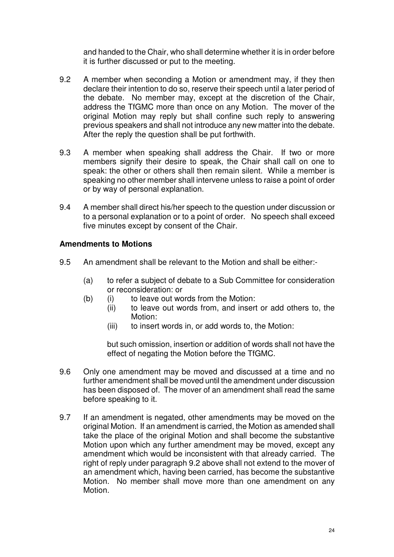and handed to the Chair, who shall determine whether it is in order before it is further discussed or put to the meeting.

- 9.2 A member when seconding a Motion or amendment may, if they then declare their intention to do so, reserve their speech until a later period of the debate. No member may, except at the discretion of the Chair, address the TfGMC more than once on any Motion. The mover of the original Motion may reply but shall confine such reply to answering previous speakers and shall not introduce any new matter into the debate. After the reply the question shall be put forthwith.
- 9.3 A member when speaking shall address the Chair. If two or more members signify their desire to speak, the Chair shall call on one to speak: the other or others shall then remain silent. While a member is speaking no other member shall intervene unless to raise a point of order or by way of personal explanation.
- 9.4 A member shall direct his/her speech to the question under discussion or to a personal explanation or to a point of order. No speech shall exceed five minutes except by consent of the Chair.

### **Amendments to Motions**

- 9.5 An amendment shall be relevant to the Motion and shall be either:-
	- (a) to refer a subject of debate to a Sub Committee for consideration or reconsideration: or
	- (b) (i) to leave out words from the Motion:<br>(ii) to leave out words from, and insert
		- to leave out words from, and insert or add others to, the Motion:
			- (iii) to insert words in, or add words to, the Motion:

but such omission, insertion or addition of words shall not have the effect of negating the Motion before the TfGMC.

- 9.6 Only one amendment may be moved and discussed at a time and no further amendment shall be moved until the amendment under discussion has been disposed of. The mover of an amendment shall read the same before speaking to it.
- 9.7 If an amendment is negated, other amendments may be moved on the original Motion. If an amendment is carried, the Motion as amended shall take the place of the original Motion and shall become the substantive Motion upon which any further amendment may be moved, except any amendment which would be inconsistent with that already carried. The right of reply under paragraph 9.2 above shall not extend to the mover of an amendment which, having been carried, has become the substantive Motion. No member shall move more than one amendment on any Motion.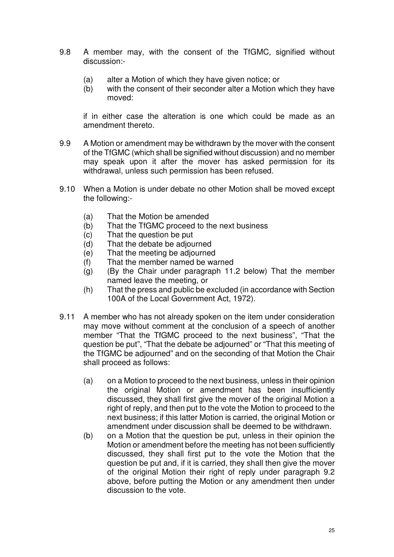- 9.8 A member may, with the consent of the TfGMC, signified without discussion:-
	- (a) alter a Motion of which they have given notice; or
	- (b) with the consent of their seconder alter a Motion which they have moved:

if in either case the alteration is one which could be made as an amendment thereto.

- 9.9 A Motion or amendment may be withdrawn by the mover with the consent of the TfGMC (which shall be signified without discussion) and no member may speak upon it after the mover has asked permission for its withdrawal, unless such permission has been refused.
- 9.10 When a Motion is under debate no other Motion shall be moved except the following:-
	- (a) That the Motion be amended
	- (b) That the TfGMC proceed to the next business
	- (c) That the question be put
	- (d) That the debate be adjourned
	- (e) That the meeting be adjourned
	- (f) That the member named be warned
	- (g) (By the Chair under paragraph 11.2 below) That the member named leave the meeting, or
	- (h) That the press and public be excluded (in accordance with Section 100A of the Local Government Act, 1972).
- 9.11 A member who has not already spoken on the item under consideration may move without comment at the conclusion of a speech of another member "That the TfGMC proceed to the next business", "That the question be put", "That the debate be adjourned" or "That this meeting of the TfGMC be adjourned" and on the seconding of that Motion the Chair shall proceed as follows:
	- (a) on a Motion to proceed to the next business, unless in their opinion the original Motion or amendment has been insufficiently discussed, they shall first give the mover of the original Motion a right of reply, and then put to the vote the Motion to proceed to the next business; if this latter Motion is carried, the original Motion or amendment under discussion shall be deemed to be withdrawn.
	- (b) on a Motion that the question be put, unless in their opinion the Motion or amendment before the meeting has not been sufficiently discussed, they shall first put to the vote the Motion that the question be put and, if it is carried, they shall then give the mover of the original Motion their right of reply under paragraph 9.2 above, before putting the Motion or any amendment then under discussion to the vote.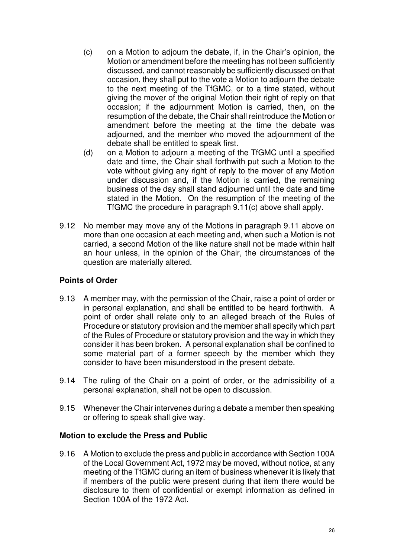- (c) on a Motion to adjourn the debate, if, in the Chair's opinion, the Motion or amendment before the meeting has not been sufficiently discussed, and cannot reasonably be sufficiently discussed on that occasion, they shall put to the vote a Motion to adjourn the debate to the next meeting of the TfGMC, or to a time stated, without giving the mover of the original Motion their right of reply on that occasion; if the adjournment Motion is carried, then, on the resumption of the debate, the Chair shall reintroduce the Motion or amendment before the meeting at the time the debate was adjourned, and the member who moved the adjournment of the debate shall be entitled to speak first.
- (d) on a Motion to adjourn a meeting of the TfGMC until a specified date and time, the Chair shall forthwith put such a Motion to the vote without giving any right of reply to the mover of any Motion under discussion and, if the Motion is carried, the remaining business of the day shall stand adjourned until the date and time stated in the Motion. On the resumption of the meeting of the TfGMC the procedure in paragraph 9.11(c) above shall apply.
- 9.12 No member may move any of the Motions in paragraph 9.11 above on more than one occasion at each meeting and, when such a Motion is not carried, a second Motion of the like nature shall not be made within half an hour unless, in the opinion of the Chair, the circumstances of the question are materially altered.

#### **Points of Order**

- 9.13 A member may, with the permission of the Chair, raise a point of order or in personal explanation, and shall be entitled to be heard forthwith. A point of order shall relate only to an alleged breach of the Rules of Procedure or statutory provision and the member shall specify which part of the Rules of Procedure or statutory provision and the way in which they consider it has been broken. A personal explanation shall be confined to some material part of a former speech by the member which they consider to have been misunderstood in the present debate.
- 9.14 The ruling of the Chair on a point of order, or the admissibility of a personal explanation, shall not be open to discussion.
- 9.15 Whenever the Chair intervenes during a debate a member then speaking or offering to speak shall give way.

#### **Motion to exclude the Press and Public**

9.16 A Motion to exclude the press and public in accordance with Section 100A of the Local Government Act, 1972 may be moved, without notice, at any meeting of the TfGMC during an item of business whenever it is likely that if members of the public were present during that item there would be disclosure to them of confidential or exempt information as defined in Section 100A of the 1972 Act.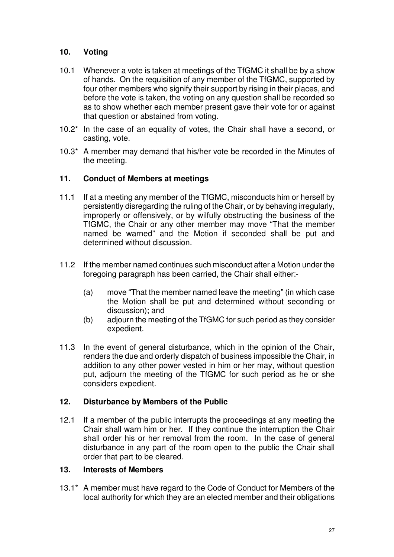### **10. Voting**

- 10.1 Whenever a vote is taken at meetings of the TfGMC it shall be by a show of hands. On the requisition of any member of the TfGMC, supported by four other members who signify their support by rising in their places, and before the vote is taken, the voting on any question shall be recorded so as to show whether each member present gave their vote for or against that question or abstained from voting.
- 10.2\* In the case of an equality of votes, the Chair shall have a second, or casting, vote.
- 10.3\* A member may demand that his/her vote be recorded in the Minutes of the meeting.

### **11. Conduct of Members at meetings**

- 11.1 If at a meeting any member of the TfGMC, misconducts him or herself by persistently disregarding the ruling of the Chair, or by behaving irregularly, improperly or offensively, or by wilfully obstructing the business of the TfGMC, the Chair or any other member may move "That the member named be warned" and the Motion if seconded shall be put and determined without discussion.
- 11.2 If the member named continues such misconduct after a Motion under the foregoing paragraph has been carried, the Chair shall either:-
	- (a) move "That the member named leave the meeting" (in which case the Motion shall be put and determined without seconding or discussion); and
	- (b) adjourn the meeting of the TfGMC for such period as they consider expedient.
- 11.3 In the event of general disturbance, which in the opinion of the Chair, renders the due and orderly dispatch of business impossible the Chair, in addition to any other power vested in him or her may, without question put, adjourn the meeting of the TfGMC for such period as he or she considers expedient.

### **12. Disturbance by Members of the Public**

12.1 If a member of the public interrupts the proceedings at any meeting the Chair shall warn him or her. If they continue the interruption the Chair shall order his or her removal from the room. In the case of general disturbance in any part of the room open to the public the Chair shall order that part to be cleared.

#### **13. Interests of Members**

13.1<sup>\*</sup> A member must have regard to the Code of Conduct for Members of the local authority for which they are an elected member and their obligations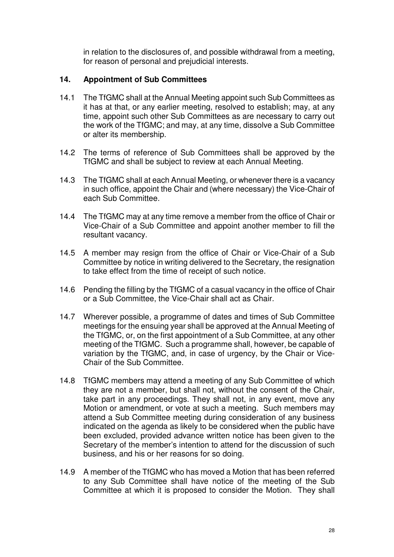in relation to the disclosures of, and possible withdrawal from a meeting, for reason of personal and prejudicial interests.

### **14. Appointment of Sub Committees**

- 14.1 The TfGMC shall at the Annual Meeting appoint such Sub Committees as it has at that, or any earlier meeting, resolved to establish; may, at any time, appoint such other Sub Committees as are necessary to carry out the work of the TfGMC; and may, at any time, dissolve a Sub Committee or alter its membership.
- 14.2 The terms of reference of Sub Committees shall be approved by the TfGMC and shall be subject to review at each Annual Meeting.
- 14.3 The TfGMC shall at each Annual Meeting, or whenever there is a vacancy in such office, appoint the Chair and (where necessary) the Vice-Chair of each Sub Committee.
- 14.4 The TfGMC may at any time remove a member from the office of Chair or Vice-Chair of a Sub Committee and appoint another member to fill the resultant vacancy.
- 14.5 A member may resign from the office of Chair or Vice-Chair of a Sub Committee by notice in writing delivered to the Secretary, the resignation to take effect from the time of receipt of such notice.
- 14.6 Pending the filling by the TfGMC of a casual vacancy in the office of Chair or a Sub Committee, the Vice-Chair shall act as Chair.
- 14.7 Wherever possible, a programme of dates and times of Sub Committee meetings for the ensuing year shall be approved at the Annual Meeting of the TfGMC, or, on the first appointment of a Sub Committee, at any other meeting of the TfGMC. Such a programme shall, however, be capable of variation by the TfGMC, and, in case of urgency, by the Chair or Vice-Chair of the Sub Committee.
- 14.8 TfGMC members may attend a meeting of any Sub Committee of which they are not a member, but shall not, without the consent of the Chair, take part in any proceedings. They shall not, in any event, move any Motion or amendment, or vote at such a meeting. Such members may attend a Sub Committee meeting during consideration of any business indicated on the agenda as likely to be considered when the public have been excluded, provided advance written notice has been given to the Secretary of the member's intention to attend for the discussion of such business, and his or her reasons for so doing.
- 14.9 A member of the TfGMC who has moved a Motion that has been referred to any Sub Committee shall have notice of the meeting of the Sub Committee at which it is proposed to consider the Motion. They shall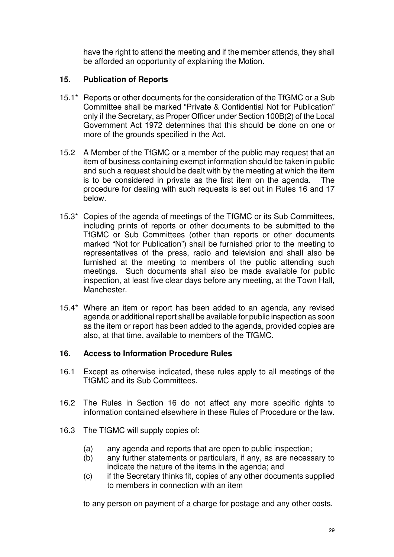have the right to attend the meeting and if the member attends, they shall be afforded an opportunity of explaining the Motion.

### **15. Publication of Reports**

- 15.1\* Reports or other documents for the consideration of the TfGMC or a Sub Committee shall be marked "Private & Confidential Not for Publication" only if the Secretary, as Proper Officer under Section 100B(2) of the Local Government Act 1972 determines that this should be done on one or more of the grounds specified in the Act.
- 15.2 A Member of the TfGMC or a member of the public may request that an item of business containing exempt information should be taken in public and such a request should be dealt with by the meeting at which the item is to be considered in private as the first item on the agenda. The procedure for dealing with such requests is set out in Rules 16 and 17 below.
- 15.3\* Copies of the agenda of meetings of the TfGMC or its Sub Committees, including prints of reports or other documents to be submitted to the TfGMC or Sub Committees (other than reports or other documents marked "Not for Publication") shall be furnished prior to the meeting to representatives of the press, radio and television and shall also be furnished at the meeting to members of the public attending such meetings. Such documents shall also be made available for public inspection, at least five clear days before any meeting, at the Town Hall, Manchester.
- 15.4\* Where an item or report has been added to an agenda, any revised agenda or additional report shall be available for public inspection as soon as the item or report has been added to the agenda, provided copies are also, at that time, available to members of the TfGMC.

### **16. Access to Information Procedure Rules**

- 16.1 Except as otherwise indicated, these rules apply to all meetings of the TfGMC and its Sub Committees.
- 16.2 The Rules in Section 16 do not affect any more specific rights to information contained elsewhere in these Rules of Procedure or the law.
- 16.3 The TfGMC will supply copies of:
	- (a) any agenda and reports that are open to public inspection;
	- (b) any further statements or particulars, if any, as are necessary to indicate the nature of the items in the agenda; and
	- (c) if the Secretary thinks fit, copies of any other documents supplied to members in connection with an item

to any person on payment of a charge for postage and any other costs.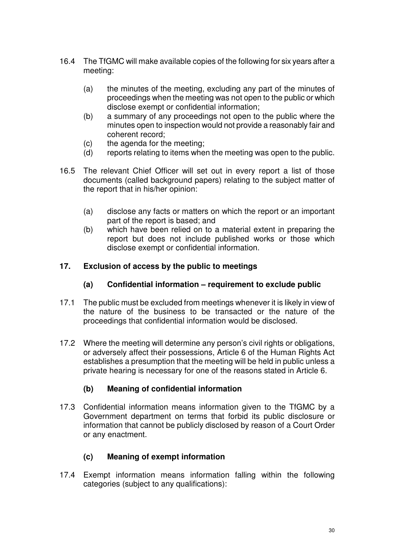- 16.4 The TfGMC will make available copies of the following for six years after a meeting:
	- (a) the minutes of the meeting, excluding any part of the minutes of proceedings when the meeting was not open to the public or which disclose exempt or confidential information;
	- (b) a summary of any proceedings not open to the public where the minutes open to inspection would not provide a reasonably fair and coherent record;
	- (c) the agenda for the meeting;
	- (d) reports relating to items when the meeting was open to the public.
- 16.5 The relevant Chief Officer will set out in every report a list of those documents (called background papers) relating to the subject matter of the report that in his/her opinion:
	- (a) disclose any facts or matters on which the report or an important part of the report is based; and
	- (b) which have been relied on to a material extent in preparing the report but does not include published works or those which disclose exempt or confidential information.

#### **17. Exclusion of access by the public to meetings**

#### **(a) Confidential information – requirement to exclude public**

- 17.1 The public must be excluded from meetings whenever it is likely in view of the nature of the business to be transacted or the nature of the proceedings that confidential information would be disclosed.
- 17.2 Where the meeting will determine any person's civil rights or obligations, or adversely affect their possessions, Article 6 of the Human Rights Act establishes a presumption that the meeting will be held in public unless a private hearing is necessary for one of the reasons stated in Article 6.

### **(b) Meaning of confidential information**

17.3 Confidential information means information given to the TfGMC by a Government department on terms that forbid its public disclosure or information that cannot be publicly disclosed by reason of a Court Order or any enactment.

### **(c) Meaning of exempt information**

17.4 Exempt information means information falling within the following categories (subject to any qualifications):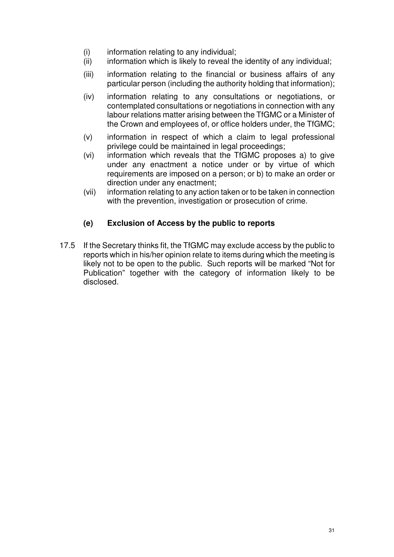- (i) information relating to any individual;
- (ii) information which is likely to reveal the identity of any individual;
- (iii) information relating to the financial or business affairs of any particular person (including the authority holding that information);
- (iv) information relating to any consultations or negotiations, or contemplated consultations or negotiations in connection with any labour relations matter arising between the TfGMC or a Minister of the Crown and employees of, or office holders under, the TfGMC;
- (v) information in respect of which a claim to legal professional privilege could be maintained in legal proceedings;
- (vi) information which reveals that the TfGMC proposes a) to give under any enactment a notice under or by virtue of which requirements are imposed on a person; or b) to make an order or direction under any enactment;
- (vii) information relating to any action taken or to be taken in connection with the prevention, investigation or prosecution of crime.

### **(e) Exclusion of Access by the public to reports**

17.5 If the Secretary thinks fit, the TfGMC may exclude access by the public to reports which in his/her opinion relate to items during which the meeting is likely not to be open to the public. Such reports will be marked "Not for Publication" together with the category of information likely to be disclosed.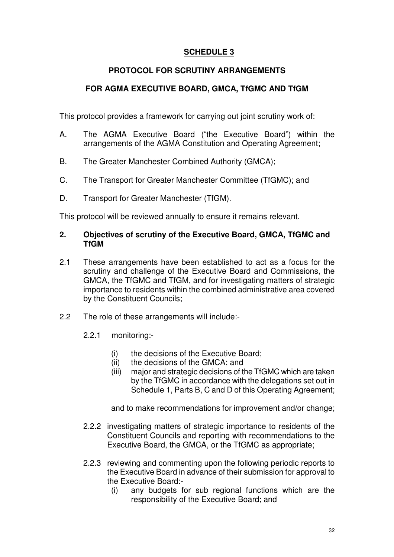### **SCHEDULE 3**

### **PROTOCOL FOR SCRUTINY ARRANGEMENTS**

### **FOR AGMA EXECUTIVE BOARD, GMCA, TfGMC AND TfGM**

This protocol provides a framework for carrying out joint scrutiny work of:

- A. The AGMA Executive Board ("the Executive Board") within the arrangements of the AGMA Constitution and Operating Agreement;
- B. The Greater Manchester Combined Authority (GMCA);
- C. The Transport for Greater Manchester Committee (TfGMC); and
- D. Transport for Greater Manchester (TfGM).

This protocol will be reviewed annually to ensure it remains relevant.

#### **2. Objectives of scrutiny of the Executive Board, GMCA, TfGMC and TfGM**

- 2.1 These arrangements have been established to act as a focus for the scrutiny and challenge of the Executive Board and Commissions, the GMCA, the TfGMC and TfGM, and for investigating matters of strategic importance to residents within the combined administrative area covered by the Constituent Councils;
- 2.2 The role of these arrangements will include:-
	- 2.2.1 monitoring:-
		- (i) the decisions of the Executive Board;
		- (ii) the decisions of the GMCA; and
		- (iii) major and strategic decisions of the TfGMC which are taken by the TfGMC in accordance with the delegations set out in Schedule 1, Parts B, C and D of this Operating Agreement;

and to make recommendations for improvement and/or change;

- 2.2.2 investigating matters of strategic importance to residents of the Constituent Councils and reporting with recommendations to the Executive Board, the GMCA, or the TfGMC as appropriate;
- 2.2.3 reviewing and commenting upon the following periodic reports to the Executive Board in advance of their submission for approval to the Executive Board:-
	- (i) any budgets for sub regional functions which are the responsibility of the Executive Board; and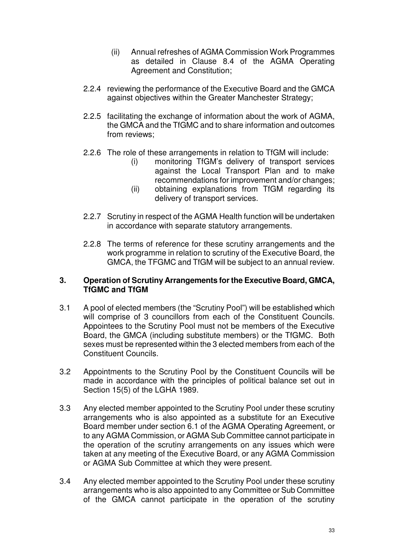- (ii) Annual refreshes of AGMA Commission Work Programmes as detailed in Clause 8.4 of the AGMA Operating Agreement and Constitution;
- 2.2.4 reviewing the performance of the Executive Board and the GMCA against objectives within the Greater Manchester Strategy;
- 2.2.5 facilitating the exchange of information about the work of AGMA, the GMCA and the TfGMC and to share information and outcomes from reviews;
- 2.2.6 The role of these arrangements in relation to TfGM will include:
	- (i) monitoring TfGM's delivery of transport services against the Local Transport Plan and to make recommendations for improvement and/or changes;
	- (ii) obtaining explanations from TfGM regarding its delivery of transport services.
- 2.2.7 Scrutiny in respect of the AGMA Health function will be undertaken in accordance with separate statutory arrangements.
- 2.2.8 The terms of reference for these scrutiny arrangements and the work programme in relation to scrutiny of the Executive Board, the GMCA, the TFGMC and TfGM will be subject to an annual review.

#### **3. Operation of Scrutiny Arrangements for the Executive Board, GMCA, TfGMC and TfGM**

- 3.1 A pool of elected members (the "Scrutiny Pool") will be established which will comprise of 3 councillors from each of the Constituent Councils. Appointees to the Scrutiny Pool must not be members of the Executive Board, the GMCA (including substitute members) or the TfGMC. Both sexes must be represented within the 3 elected members from each of the Constituent Councils.
- 3.2 Appointments to the Scrutiny Pool by the Constituent Councils will be made in accordance with the principles of political balance set out in Section 15(5) of the LGHA 1989.
- 3.3 Any elected member appointed to the Scrutiny Pool under these scrutiny arrangements who is also appointed as a substitute for an Executive Board member under section 6.1 of the AGMA Operating Agreement, or to any AGMA Commission, or AGMA Sub Committee cannot participate in the operation of the scrutiny arrangements on any issues which were taken at any meeting of the Executive Board, or any AGMA Commission or AGMA Sub Committee at which they were present.
- 3.4 Any elected member appointed to the Scrutiny Pool under these scrutiny arrangements who is also appointed to any Committee or Sub Committee of the GMCA cannot participate in the operation of the scrutiny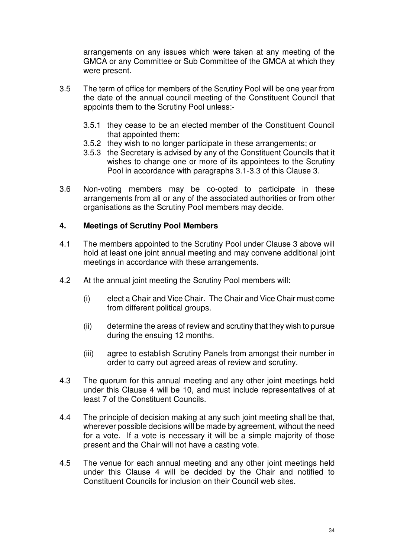arrangements on any issues which were taken at any meeting of the GMCA or any Committee or Sub Committee of the GMCA at which they were present.

- 3.5 The term of office for members of the Scrutiny Pool will be one year from the date of the annual council meeting of the Constituent Council that appoints them to the Scrutiny Pool unless:-
	- 3.5.1 they cease to be an elected member of the Constituent Council that appointed them;
	- 3.5.2 they wish to no longer participate in these arrangements; or
	- 3.5.3 the Secretary is advised by any of the Constituent Councils that it wishes to change one or more of its appointees to the Scrutiny Pool in accordance with paragraphs 3.1-3.3 of this Clause 3.
- 3.6 Non-voting members may be co-opted to participate in these arrangements from all or any of the associated authorities or from other organisations as the Scrutiny Pool members may decide.

#### **4. Meetings of Scrutiny Pool Members**

- 4.1 The members appointed to the Scrutiny Pool under Clause 3 above will hold at least one joint annual meeting and may convene additional joint meetings in accordance with these arrangements.
- 4.2 At the annual joint meeting the Scrutiny Pool members will:
	- (i) elect a Chair and Vice Chair. The Chair and Vice Chair must come from different political groups.
	- (ii) determine the areas of review and scrutiny that they wish to pursue during the ensuing 12 months.
	- (iii) agree to establish Scrutiny Panels from amongst their number in order to carry out agreed areas of review and scrutiny.
- 4.3 The quorum for this annual meeting and any other joint meetings held under this Clause 4 will be 10, and must include representatives of at least 7 of the Constituent Councils.
- 4.4 The principle of decision making at any such joint meeting shall be that, wherever possible decisions will be made by agreement, without the need for a vote. If a vote is necessary it will be a simple majority of those present and the Chair will not have a casting vote.
- 4.5 The venue for each annual meeting and any other joint meetings held under this Clause 4 will be decided by the Chair and notified to Constituent Councils for inclusion on their Council web sites.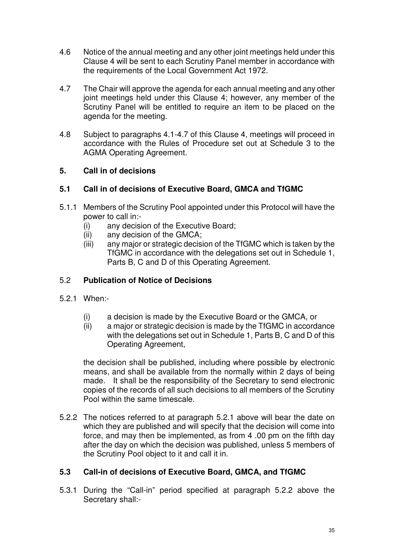- 4.6 Notice of the annual meeting and any other joint meetings held under this Clause 4 will be sent to each Scrutiny Panel member in accordance with the requirements of the Local Government Act 1972.
- 4.7 The Chair will approve the agenda for each annual meeting and any other joint meetings held under this Clause 4; however, any member of the Scrutiny Panel will be entitled to require an item to be placed on the agenda for the meeting.
- 4.8 Subject to paragraphs 4.1-4.7 of this Clause 4, meetings will proceed in accordance with the Rules of Procedure set out at Schedule 3 to the AGMA Operating Agreement.

### **5. Call in of decisions**

### **5.1 Call in of decisions of Executive Board, GMCA and TfGMC**

- 5.1.1 Members of the Scrutiny Pool appointed under this Protocol will have the power to call in:-
	- (i) any decision of the Executive Board;
	- (ii) any decision of the GMCA;
	- (iii) any major or strategic decision of the TfGMC which is taken by the TfGMC in accordance with the delegations set out in Schedule 1, Parts B, C and D of this Operating Agreement.

### 5.2 **Publication of Notice of Decisions**

- 5.2.1 When:-
	- (i) a decision is made by the Executive Board or the GMCA, or
	- (ii) a major or strategic decision is made by the TfGMC in accordance with the delegations set out in Schedule 1, Parts B, C and D of this Operating Agreement,

the decision shall be published, including where possible by electronic means, and shall be available from the normally within 2 days of being made. It shall be the responsibility of the Secretary to send electronic copies of the records of all such decisions to all members of the Scrutiny Pool within the same timescale.

5.2.2 The notices referred to at paragraph 5.2.1 above will bear the date on which they are published and will specify that the decision will come into force, and may then be implemented, as from 4 .00 pm on the fifth day after the day on which the decision was published, unless 5 members of the Scrutiny Pool object to it and call it in.

### **5.3 Call-in of decisions of Executive Board, GMCA, and TfGMC**

5.3.1 During the "Call-in" period specified at paragraph 5.2.2 above the Secretary shall:-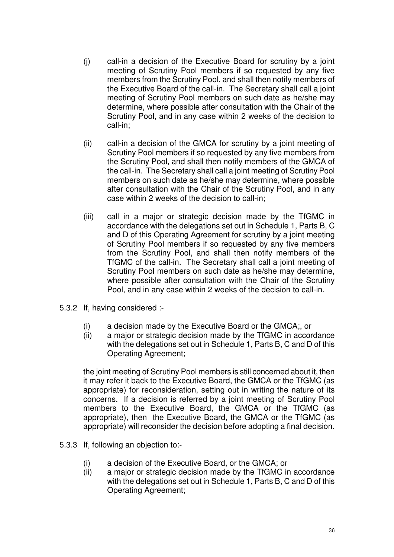- (j) call-in a decision of the Executive Board for scrutiny by a joint meeting of Scrutiny Pool members if so requested by any five members from the Scrutiny Pool, and shall then notify members of the Executive Board of the call-in. The Secretary shall call a joint meeting of Scrutiny Pool members on such date as he/she may determine, where possible after consultation with the Chair of the Scrutiny Pool, and in any case within 2 weeks of the decision to call-in;
- (ii) call-in a decision of the GMCA for scrutiny by a joint meeting of Scrutiny Pool members if so requested by any five members from the Scrutiny Pool, and shall then notify members of the GMCA of the call-in. The Secretary shall call a joint meeting of Scrutiny Pool members on such date as he/she may determine, where possible after consultation with the Chair of the Scrutiny Pool, and in any case within 2 weeks of the decision to call-in;
- (iii) call in a major or strategic decision made by the TfGMC in accordance with the delegations set out in Schedule 1, Parts B, C and D of this Operating Agreement for scrutiny by a joint meeting of Scrutiny Pool members if so requested by any five members from the Scrutiny Pool, and shall then notify members of the TfGMC of the call-in. The Secretary shall call a joint meeting of Scrutiny Pool members on such date as he/she may determine, where possible after consultation with the Chair of the Scrutiny Pool, and in any case within 2 weeks of the decision to call-in.
- 5.3.2 If, having considered :-
	- (i) a decision made by the Executive Board or the GMCA;, or
	- (ii) a major or strategic decision made by the TfGMC in accordance with the delegations set out in Schedule 1, Parts B, C and D of this Operating Agreement;

the joint meeting of Scrutiny Pool members is still concerned about it, then it may refer it back to the Executive Board, the GMCA or the TfGMC (as appropriate) for reconsideration, setting out in writing the nature of its concerns. If a decision is referred by a joint meeting of Scrutiny Pool members to the Executive Board, the GMCA or the TfGMC (as appropriate), then the Executive Board, the GMCA or the TfGMC (as appropriate) will reconsider the decision before adopting a final decision.

- 5.3.3 If, following an objection to:-
	- (i) a decision of the Executive Board, or the GMCA; or
	- (ii) a major or strategic decision made by the TfGMC in accordance with the delegations set out in Schedule 1, Parts B, C and D of this Operating Agreement;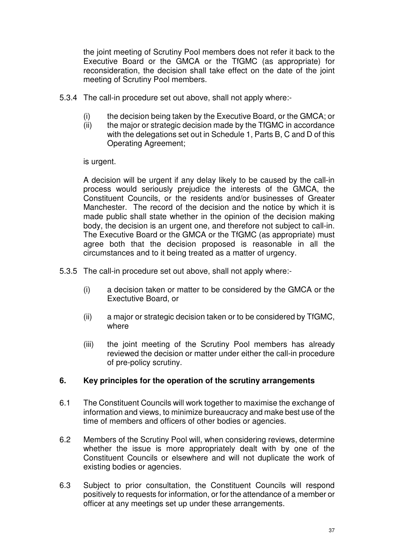the joint meeting of Scrutiny Pool members does not refer it back to the Executive Board or the GMCA or the TfGMC (as appropriate) for reconsideration, the decision shall take effect on the date of the joint meeting of Scrutiny Pool members.

- 5.3.4 The call-in procedure set out above, shall not apply where:-
	- (i) the decision being taken by the Executive Board, or the GMCA; or
	- (ii) the major or strategic decision made by the TfGMC in accordance with the delegations set out in Schedule 1, Parts B, C and D of this Operating Agreement;

is urgent.

A decision will be urgent if any delay likely to be caused by the call-in process would seriously prejudice the interests of the GMCA, the Constituent Councils, or the residents and/or businesses of Greater Manchester. The record of the decision and the notice by which it is made public shall state whether in the opinion of the decision making body, the decision is an urgent one, and therefore not subject to call-in. The Executive Board or the GMCA or the TfGMC (as appropriate) must agree both that the decision proposed is reasonable in all the circumstances and to it being treated as a matter of urgency.

- 5.3.5 The call-in procedure set out above, shall not apply where:-
	- (i) a decision taken or matter to be considered by the GMCA or the Exectutive Board, or
	- (ii) a major or strategic decision taken or to be considered by TfGMC, where
	- (iii) the joint meeting of the Scrutiny Pool members has already reviewed the decision or matter under either the call-in procedure of pre-policy scrutiny.

### **6. Key principles for the operation of the scrutiny arrangements**

- 6.1 The Constituent Councils will work together to maximise the exchange of information and views, to minimize bureaucracy and make best use of the time of members and officers of other bodies or agencies.
- 6.2 Members of the Scrutiny Pool will, when considering reviews, determine whether the issue is more appropriately dealt with by one of the Constituent Councils or elsewhere and will not duplicate the work of existing bodies or agencies.
- 6.3 Subject to prior consultation, the Constituent Councils will respond positively to requests for information, or for the attendance of a member or officer at any meetings set up under these arrangements.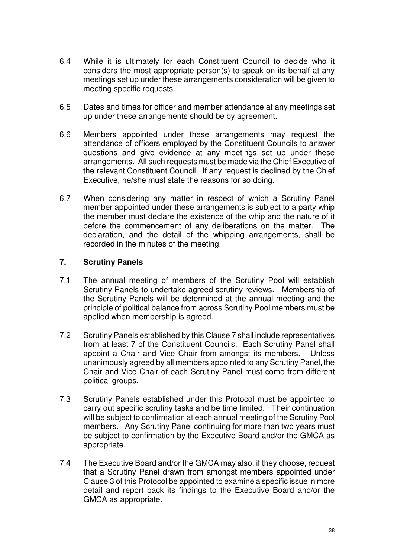- 6.4 While it is ultimately for each Constituent Council to decide who it considers the most appropriate person(s) to speak on its behalf at any meetings set up under these arrangements consideration will be given to meeting specific requests.
- 6.5 Dates and times for officer and member attendance at any meetings set up under these arrangements should be by agreement.
- 6.6 Members appointed under these arrangements may request the attendance of officers employed by the Constituent Councils to answer questions and give evidence at any meetings set up under these arrangements. All such requests must be made via the Chief Executive of the relevant Constituent Council. If any request is declined by the Chief Executive, he/she must state the reasons for so doing.
- 6.7 When considering any matter in respect of which a Scrutiny Panel member appointed under these arrangements is subject to a party whip the member must declare the existence of the whip and the nature of it before the commencement of any deliberations on the matter. The declaration, and the detail of the whipping arrangements, shall be recorded in the minutes of the meeting.

### **7. Scrutiny Panels**

- 7.1 The annual meeting of members of the Scrutiny Pool will establish Scrutiny Panels to undertake agreed scrutiny reviews. Membership of the Scrutiny Panels will be determined at the annual meeting and the principle of political balance from across Scrutiny Pool members must be applied when membership is agreed.
- 7.2 Scrutiny Panels established by this Clause 7 shall include representatives from at least 7 of the Constituent Councils. Each Scrutiny Panel shall appoint a Chair and Vice Chair from amongst its members. Unless unanimously agreed by all members appointed to any Scrutiny Panel, the Chair and Vice Chair of each Scrutiny Panel must come from different political groups.
- 7.3 Scrutiny Panels established under this Protocol must be appointed to carry out specific scrutiny tasks and be time limited. Their continuation will be subject to confirmation at each annual meeting of the Scrutiny Pool members. Any Scrutiny Panel continuing for more than two years must be subject to confirmation by the Executive Board and/or the GMCA as appropriate.
- 7.4 The Executive Board and/or the GMCA may also, if they choose, request that a Scrutiny Panel drawn from amongst members appointed under Clause 3 of this Protocol be appointed to examine a specific issue in more detail and report back its findings to the Executive Board and/or the GMCA as appropriate.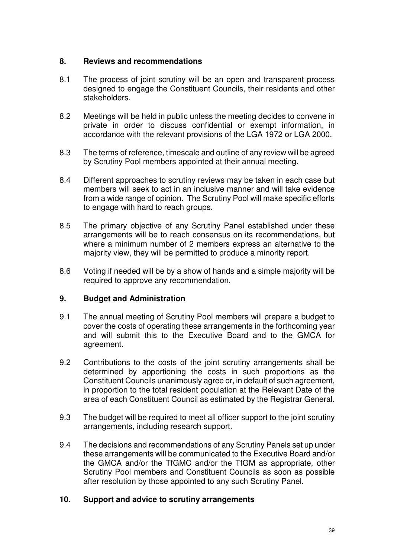#### **8. Reviews and recommendations**

- 8.1 The process of joint scrutiny will be an open and transparent process designed to engage the Constituent Councils, their residents and other stakeholders.
- 8.2 Meetings will be held in public unless the meeting decides to convene in private in order to discuss confidential or exempt information, in accordance with the relevant provisions of the LGA 1972 or LGA 2000.
- 8.3 The terms of reference, timescale and outline of any review will be agreed by Scrutiny Pool members appointed at their annual meeting.
- 8.4 Different approaches to scrutiny reviews may be taken in each case but members will seek to act in an inclusive manner and will take evidence from a wide range of opinion. The Scrutiny Pool will make specific efforts to engage with hard to reach groups.
- 8.5 The primary objective of any Scrutiny Panel established under these arrangements will be to reach consensus on its recommendations, but where a minimum number of 2 members express an alternative to the majority view, they will be permitted to produce a minority report.
- 8.6 Voting if needed will be by a show of hands and a simple majority will be required to approve any recommendation.

### **9. Budget and Administration**

- 9.1 The annual meeting of Scrutiny Pool members will prepare a budget to cover the costs of operating these arrangements in the forthcoming year and will submit this to the Executive Board and to the GMCA for agreement.
- 9.2 Contributions to the costs of the joint scrutiny arrangements shall be determined by apportioning the costs in such proportions as the Constituent Councils unanimously agree or, in default of such agreement, in proportion to the total resident population at the Relevant Date of the area of each Constituent Council as estimated by the Registrar General.
- 9.3 The budget will be required to meet all officer support to the joint scrutiny arrangements, including research support.
- 9.4 The decisions and recommendations of any Scrutiny Panels set up under these arrangements will be communicated to the Executive Board and/or the GMCA and/or the TfGMC and/or the TfGM as appropriate, other Scrutiny Pool members and Constituent Councils as soon as possible after resolution by those appointed to any such Scrutiny Panel.

#### **10. Support and advice to scrutiny arrangements**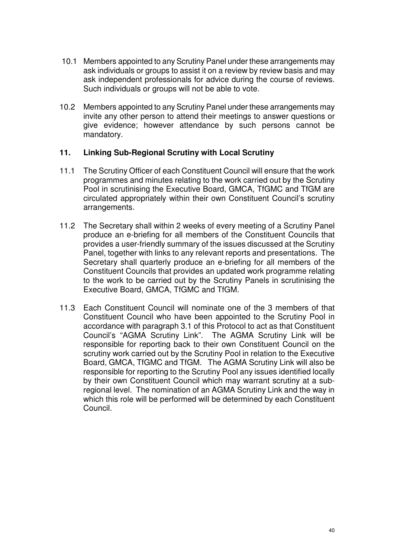- 10.1 Members appointed to any Scrutiny Panel under these arrangements may ask individuals or groups to assist it on a review by review basis and may ask independent professionals for advice during the course of reviews. Such individuals or groups will not be able to vote.
- 10.2 Members appointed to any Scrutiny Panel under these arrangements may invite any other person to attend their meetings to answer questions or give evidence; however attendance by such persons cannot be mandatory.

#### **11. Linking Sub-Regional Scrutiny with Local Scrutiny**

- 11.1 The Scrutiny Officer of each Constituent Council will ensure that the work programmes and minutes relating to the work carried out by the Scrutiny Pool in scrutinising the Executive Board, GMCA, TfGMC and TfGM are circulated appropriately within their own Constituent Council's scrutiny arrangements.
- 11.2 The Secretary shall within 2 weeks of every meeting of a Scrutiny Panel produce an e-briefing for all members of the Constituent Councils that provides a user-friendly summary of the issues discussed at the Scrutiny Panel, together with links to any relevant reports and presentations. The Secretary shall quarterly produce an e-briefing for all members of the Constituent Councils that provides an updated work programme relating to the work to be carried out by the Scrutiny Panels in scrutinising the Executive Board, GMCA, TfGMC and TfGM.
- 11.3 Each Constituent Council will nominate one of the 3 members of that Constituent Council who have been appointed to the Scrutiny Pool in accordance with paragraph 3.1 of this Protocol to act as that Constituent Council's "AGMA Scrutiny Link". The AGMA Scrutiny Link will be responsible for reporting back to their own Constituent Council on the scrutiny work carried out by the Scrutiny Pool in relation to the Executive Board, GMCA, TfGMC and TfGM. The AGMA Scrutiny Link will also be responsible for reporting to the Scrutiny Pool any issues identified locally by their own Constituent Council which may warrant scrutiny at a subregional level. The nomination of an AGMA Scrutiny Link and the way in which this role will be performed will be determined by each Constituent Council.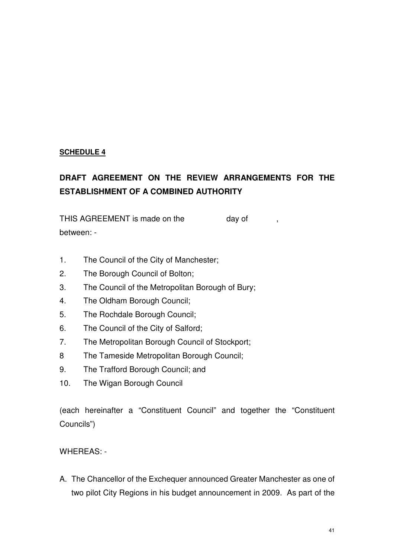### **SCHEDULE 4**

# **DRAFT AGREEMENT ON THE REVIEW ARRANGEMENTS FOR THE ESTABLISHMENT OF A COMBINED AUTHORITY**

THIS AGREEMENT is made on the day of , between: -

- 1. The Council of the City of Manchester;
- 2. The Borough Council of Bolton;
- 3. The Council of the Metropolitan Borough of Bury;
- 4. The Oldham Borough Council;
- 5. The Rochdale Borough Council;
- 6. The Council of the City of Salford;
- 7. The Metropolitan Borough Council of Stockport;
- 8 The Tameside Metropolitan Borough Council;
- 9. The Trafford Borough Council; and
- 10. The Wigan Borough Council

(each hereinafter a "Constituent Council" and together the "Constituent Councils")

#### WHEREAS: -

A. The Chancellor of the Exchequer announced Greater Manchester as one of two pilot City Regions in his budget announcement in 2009. As part of the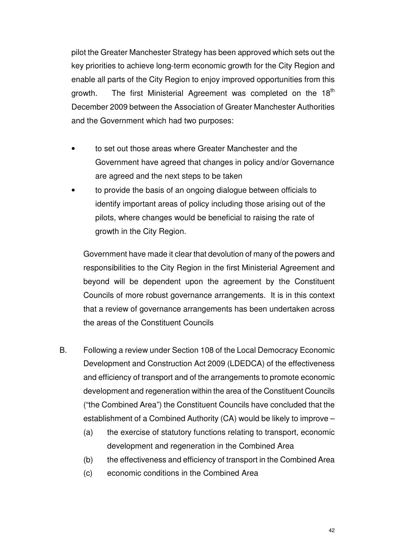pilot the Greater Manchester Strategy has been approved which sets out the key priorities to achieve long-term economic growth for the City Region and enable all parts of the City Region to enjoy improved opportunities from this growth. The first Ministerial Agreement was completed on the 18<sup>th</sup> December 2009 between the Association of Greater Manchester Authorities and the Government which had two purposes:

- to set out those areas where Greater Manchester and the Government have agreed that changes in policy and/or Governance are agreed and the next steps to be taken
- to provide the basis of an ongoing dialogue between officials to identify important areas of policy including those arising out of the pilots, where changes would be beneficial to raising the rate of growth in the City Region.

Government have made it clear that devolution of many of the powers and responsibilities to the City Region in the first Ministerial Agreement and beyond will be dependent upon the agreement by the Constituent Councils of more robust governance arrangements. It is in this context that a review of governance arrangements has been undertaken across the areas of the Constituent Councils

- B. Following a review under Section 108 of the Local Democracy Economic Development and Construction Act 2009 (LDEDCA) of the effectiveness and efficiency of transport and of the arrangements to promote economic development and regeneration within the area of the Constituent Councils ("the Combined Area") the Constituent Councils have concluded that the establishment of a Combined Authority (CA) would be likely to improve –
	- (a) the exercise of statutory functions relating to transport, economic development and regeneration in the Combined Area
	- (b) the effectiveness and efficiency of transport in the Combined Area
	- (c) economic conditions in the Combined Area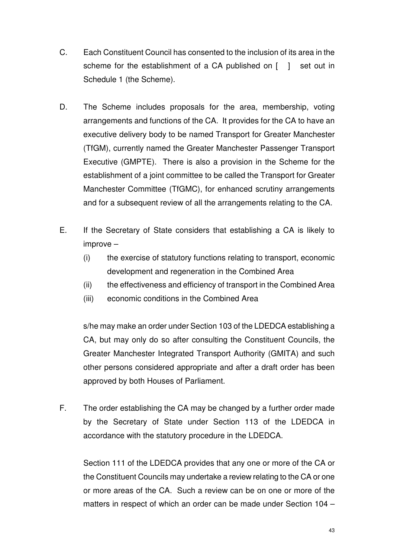- C. Each Constituent Council has consented to the inclusion of its area in the scheme for the establishment of a CA published on [ ] set out in Schedule 1 (the Scheme).
- D. The Scheme includes proposals for the area, membership, voting arrangements and functions of the CA. It provides for the CA to have an executive delivery body to be named Transport for Greater Manchester (TfGM), currently named the Greater Manchester Passenger Transport Executive (GMPTE). There is also a provision in the Scheme for the establishment of a joint committee to be called the Transport for Greater Manchester Committee (TfGMC), for enhanced scrutiny arrangements and for a subsequent review of all the arrangements relating to the CA.
- E. If the Secretary of State considers that establishing a CA is likely to improve –
	- (i) the exercise of statutory functions relating to transport, economic development and regeneration in the Combined Area
	- (ii) the effectiveness and efficiency of transport in the Combined Area
	- (iii) economic conditions in the Combined Area

s/he may make an order under Section 103 of the LDEDCA establishing a CA, but may only do so after consulting the Constituent Councils, the Greater Manchester Integrated Transport Authority (GMITA) and such other persons considered appropriate and after a draft order has been approved by both Houses of Parliament.

F. The order establishing the CA may be changed by a further order made by the Secretary of State under Section 113 of the LDEDCA in accordance with the statutory procedure in the LDEDCA.

 Section 111 of the LDEDCA provides that any one or more of the CA or the Constituent Councils may undertake a review relating to the CA or one or more areas of the CA. Such a review can be on one or more of the matters in respect of which an order can be made under Section 104 –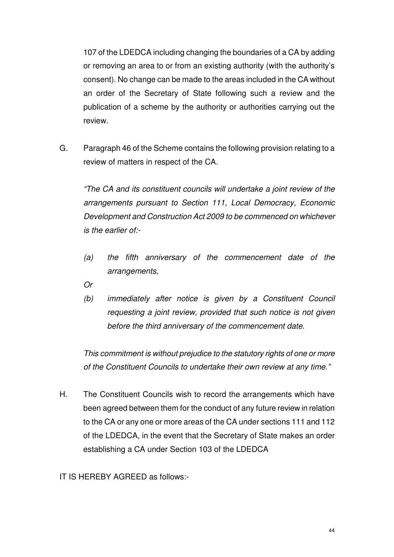107 of the LDEDCA including changing the boundaries of a CA by adding or removing an area to or from an existing authority (with the authority's consent). No change can be made to the areas included in the CA without an order of the Secretary of State following such a review and the publication of a scheme by the authority or authorities carrying out the review.

G. Paragraph 46 of the Scheme contains the following provision relating to a review of matters in respect of the CA.

"The CA and its constituent councils will undertake a joint review of the arrangements pursuant to Section 111, Local Democracy, Economic Development and Construction Act 2009 to be commenced on whichever is the earlier of:-

- (a) the fifth anniversary of the commencement date of the arrangements,
- Or
- (b) immediately after notice is given by a Constituent Council requesting a joint review, provided that such notice is not given before the third anniversary of the commencement date.

This commitment is without prejudice to the statutory rights of one or more of the Constituent Councils to undertake their own review at any time."

- H. The Constituent Councils wish to record the arrangements which have been agreed between them for the conduct of any future review in relation to the CA or any one or more areas of the CA under sections 111 and 112 of the LDEDCA, in the event that the Secretary of State makes an order establishing a CA under Section 103 of the LDEDCA
- IT IS HEREBY AGREED as follows:-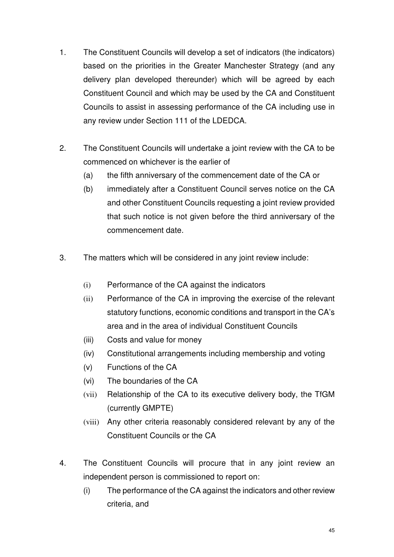- 1. The Constituent Councils will develop a set of indicators (the indicators) based on the priorities in the Greater Manchester Strategy (and any delivery plan developed thereunder) which will be agreed by each Constituent Council and which may be used by the CA and Constituent Councils to assist in assessing performance of the CA including use in any review under Section 111 of the LDEDCA.
- 2. The Constituent Councils will undertake a joint review with the CA to be commenced on whichever is the earlier of
	- (a) the fifth anniversary of the commencement date of the CA or
	- (b) immediately after a Constituent Council serves notice on the CA and other Constituent Councils requesting a joint review provided that such notice is not given before the third anniversary of the commencement date.
- 3. The matters which will be considered in any joint review include:
	- (i) Performance of the CA against the indicators
	- (ii) Performance of the CA in improving the exercise of the relevant statutory functions, economic conditions and transport in the CA's area and in the area of individual Constituent Councils
	- (iii) Costs and value for money
	- (iv) Constitutional arrangements including membership and voting
	- (v) Functions of the CA
	- (vi) The boundaries of the CA
	- (vii) Relationship of the CA to its executive delivery body, the TfGM (currently GMPTE)
	- (viii) Any other criteria reasonably considered relevant by any of the Constituent Councils or the CA
- 4. The Constituent Councils will procure that in any joint review an independent person is commissioned to report on:
	- (i) The performance of the CA against the indicators and other review criteria, and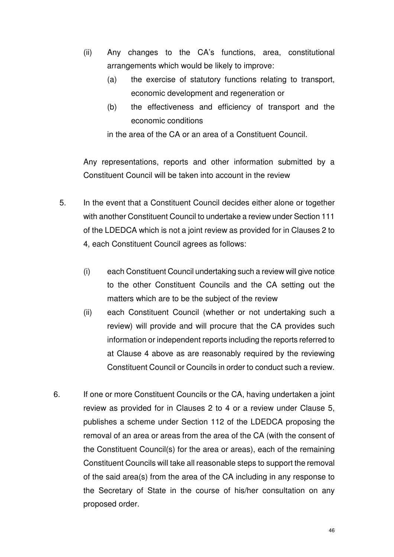- (ii) Any changes to the CA's functions, area, constitutional arrangements which would be likely to improve:
	- (a) the exercise of statutory functions relating to transport, economic development and regeneration or
	- (b) the effectiveness and efficiency of transport and the economic conditions

in the area of the CA or an area of a Constituent Council.

Any representations, reports and other information submitted by a Constituent Council will be taken into account in the review

- 5. In the event that a Constituent Council decides either alone or together with another Constituent Council to undertake a review under Section 111 of the LDEDCA which is not a joint review as provided for in Clauses 2 to 4, each Constituent Council agrees as follows:
	- (i) each Constituent Council undertaking such a review will give notice to the other Constituent Councils and the CA setting out the matters which are to be the subject of the review
	- (ii) each Constituent Council (whether or not undertaking such a review) will provide and will procure that the CA provides such information or independent reports including the reports referred to at Clause 4 above as are reasonably required by the reviewing Constituent Council or Councils in order to conduct such a review.
- 6. If one or more Constituent Councils or the CA, having undertaken a joint review as provided for in Clauses 2 to 4 or a review under Clause 5, publishes a scheme under Section 112 of the LDEDCA proposing the removal of an area or areas from the area of the CA (with the consent of the Constituent Council(s) for the area or areas), each of the remaining Constituent Councils will take all reasonable steps to support the removal of the said area(s) from the area of the CA including in any response to the Secretary of State in the course of his/her consultation on any proposed order.